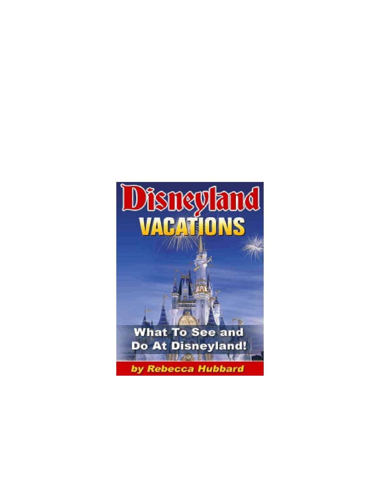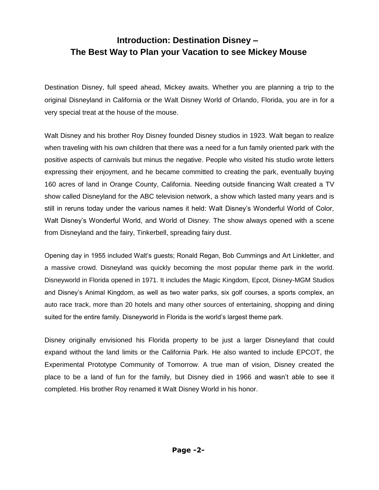# **Introduction: Destination Disney – The Best Way to Plan your Vacation to see Mickey Mouse**

Destination Disney, full speed ahead, Mickey awaits. Whether you are planning a trip to the original Disneyland in California or the Walt Disney World of Orlando, Florida, you are in for a very special treat at the house of the mouse.

Walt Disney and his brother Roy Disney founded Disney studios in 1923. Walt began to realize when traveling with his own children that there was a need for a fun family oriented park with the positive aspects of carnivals but minus the negative. People who visited his studio wrote letters expressing their enjoyment, and he became committed to creating the park, eventually buying 160 acres of land in Orange County, California. Needing outside financing Walt created a TV show called Disneyland for the ABC television network, a show which lasted many years and is still in reruns today under the various names it held: Walt Disney"s Wonderful World of Color, Walt Disney"s Wonderful World, and World of Disney. The show always opened with a scene from Disneyland and the fairy, Tinkerbell, spreading fairy dust.

Opening day in 1955 included Walt"s guests; Ronald Regan, Bob Cummings and Art Linkletter, and a massive crowd. Disneyland was quickly becoming the most popular theme park in the world. Disneyworld in Florida opened in 1971. It includes the Magic Kingdom, Epcot, Disney-MGM Studios and Disney"s Animal Kingdom, as well as two water parks, six golf courses, a sports complex, an auto race track, more than 20 hotels and many other sources of entertaining, shopping and dining suited for the entire family. Disneyworld in Florida is the world"s largest theme park.

Disney originally envisioned his Florida property to be just a larger Disneyland that could expand without the land limits or the California Park. He also wanted to include EPCOT, the Experimental Prototype Community of Tomorrow. A true man of vision, Disney created the place to be a land of fun for the family, but Disney died in 1966 and wasn"t able to see it completed. His brother Roy renamed it Walt Disney World in his honor.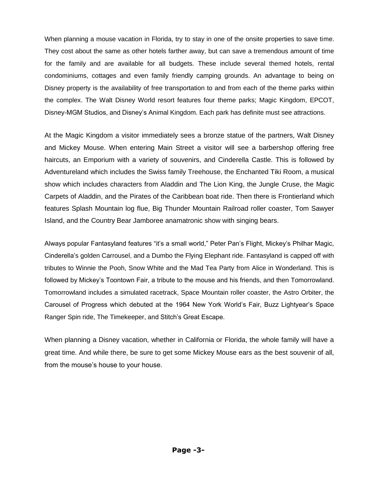When planning a mouse vacation in Florida, try to stay in one of the onsite properties to save time. They cost about the same as other hotels farther away, but can save a tremendous amount of time for the family and are available for all budgets. These include several themed hotels, rental condominiums, cottages and even family friendly camping grounds. An advantage to being on Disney property is the availability of free transportation to and from each of the theme parks within the complex. The Walt Disney World resort features four theme parks; Magic Kingdom, EPCOT, Disney-MGM Studios, and Disney"s Animal Kingdom. Each park has definite must see attractions.

At the Magic Kingdom a visitor immediately sees a bronze statue of the partners, Walt Disney and Mickey Mouse. When entering Main Street a visitor will see a barbershop offering free haircuts, an Emporium with a variety of souvenirs, and Cinderella Castle. This is followed by Adventureland which includes the Swiss family Treehouse, the Enchanted Tiki Room, a musical show which includes characters from Aladdin and The Lion King, the Jungle Cruse, the Magic Carpets of Aladdin, and the Pirates of the Caribbean boat ride. Then there is Frontierland which features Splash Mountain log flue, Big Thunder Mountain Railroad roller coaster, Tom Sawyer Island, and the Country Bear Jamboree anamatronic show with singing bears.

Always popular Fantasyland features "it"s a small world," Peter Pan"s Flight, Mickey"s Philhar Magic, Cinderella"s golden Carrousel, and a Dumbo the Flying Elephant ride. Fantasyland is capped off with tributes to Winnie the Pooh, Snow White and the Mad Tea Party from Alice in Wonderland. This is followed by Mickey"s Toontown Fair, a tribute to the mouse and his friends, and then Tomorrowland. Tomorrowland includes a simulated racetrack, Space Mountain roller coaster, the Astro Orbiter, the Carousel of Progress which debuted at the 1964 New York World"s Fair, Buzz Lightyear"s Space Ranger Spin ride, The Timekeeper, and Stitch"s Great Escape.

When planning a Disney vacation, whether in California or Florida, the whole family will have a great time. And while there, be sure to get some Mickey Mouse ears as the best souvenir of all, from the mouse's house to your house.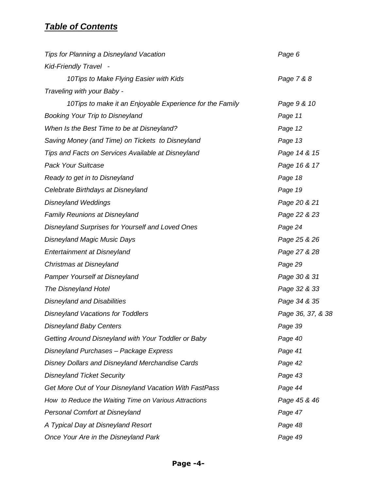# *Table of Contents*

| <b>Tips for Planning a Disneyland Vacation</b>           | Page 6            |
|----------------------------------------------------------|-------------------|
| Kid-Friendly Travel -                                    |                   |
| 10Tips to Make Flying Easier with Kids                   | Page 7 & 8        |
| Traveling with your Baby -                               |                   |
| 10Tips to make it an Enjoyable Experience for the Family | Page 9 & 10       |
| <b>Booking Your Trip to Disneyland</b>                   | Page 11           |
| When Is the Best Time to be at Disneyland?               | Page 12           |
| Saving Money (and Time) on Tickets to Disneyland         | Page 13           |
| Tips and Facts on Services Available at Disneyland       | Page 14 & 15      |
| <b>Pack Your Suitcase</b>                                | Page 16 & 17      |
| Ready to get in to Disneyland                            | Page 18           |
| Celebrate Birthdays at Disneyland                        | Page 19           |
| <b>Disneyland Weddings</b>                               | Page 20 & 21      |
| <b>Family Reunions at Disneyland</b>                     | Page 22 & 23      |
| Disneyland Surprises for Yourself and Loved Ones         | Page 24           |
| <b>Disneyland Magic Music Days</b>                       | Page 25 & 26      |
| <b>Entertainment at Disneyland</b>                       | Page 27 & 28      |
| Christmas at Disneyland                                  | Page 29           |
| Pamper Yourself at Disneyland                            | Page 30 & 31      |
| <b>The Disneyland Hotel</b>                              | Page 32 & 33      |
| <b>Disneyland and Disabilities</b>                       | Page 34 & 35      |
| <b>Disneyland Vacations for Toddlers</b>                 | Page 36, 37, & 38 |
| <b>Disneyland Baby Centers</b>                           | Page 39           |
| Getting Around Disneyland with Your Toddler or Baby      | Page 40           |
| Disneyland Purchases - Package Express                   | Page 41           |
| <b>Disney Dollars and Disneyland Merchandise Cards</b>   | Page 42           |
| <b>Disneyland Ticket Security</b>                        | Page 43           |
| Get More Out of Your Disneyland Vacation With FastPass   | Page 44           |
| How to Reduce the Waiting Time on Various Attractions    | Page 45 & 46      |
| Personal Comfort at Disneyland                           | Page 47           |
| A Typical Day at Disneyland Resort                       | Page 48           |
| Once Your Are in the Disneyland Park                     | Page 49           |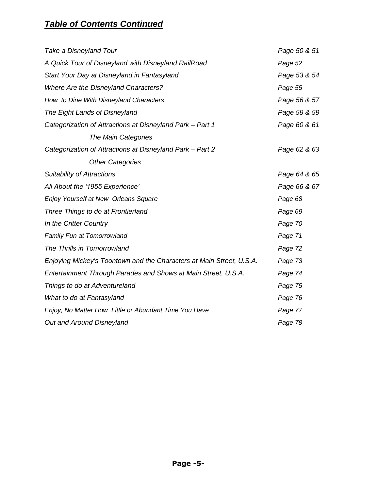# *Table of Contents Continued*

| Take a Disneyland Tour                                               | Page 50 & 51 |
|----------------------------------------------------------------------|--------------|
| A Quick Tour of Disneyland with Disneyland RailRoad                  | Page 52      |
| Start Your Day at Disneyland in Fantasyland                          | Page 53 & 54 |
| <b>Where Are the Disneyland Characters?</b>                          | Page 55      |
| How to Dine With Disneyland Characters                               | Page 56 & 57 |
| The Eight Lands of Disneyland                                        | Page 58 & 59 |
| Categorization of Attractions at Disneyland Park - Part 1            | Page 60 & 61 |
| The Main Categories                                                  |              |
| Categorization of Attractions at Disneyland Park - Part 2            | Page 62 & 63 |
| <b>Other Categories</b>                                              |              |
| <b>Suitability of Attractions</b>                                    | Page 64 & 65 |
| All About the '1955 Experience'                                      | Page 66 & 67 |
| Enjoy Yourself at New Orleans Square                                 | Page 68      |
| Three Things to do at Frontierland                                   | Page 69      |
| In the Critter Country                                               | Page 70      |
| Family Fun at Tomorrowland                                           | Page 71      |
| The Thrills in Tomorrowland                                          | Page 72      |
| Enjoying Mickey's Toontown and the Characters at Main Street, U.S.A. | Page 73      |
| Entertainment Through Parades and Shows at Main Street, U.S.A.       | Page 74      |
| Things to do at Adventureland                                        | Page 75      |
| What to do at Fantasyland                                            | Page 76      |
| Enjoy, No Matter How Little or Abundant Time You Have                | Page 77      |
| <b>Out and Around Disneyland</b>                                     | Page 78      |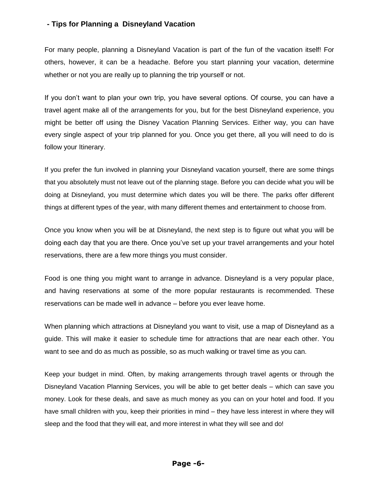### **- Tips for Planning a Disneyland Vacation**

For many people, planning a Disneyland Vacation is part of the fun of the vacation itself! For others, however, it can be a headache. Before you start planning your vacation, determine whether or not you are really up to planning the trip yourself or not.

If you don"t want to plan your own trip, you have several options. Of course, you can have a travel agent make all of the arrangements for you, but for the best Disneyland experience, you might be better off using the Disney Vacation Planning Services. Either way, you can have every single aspect of your trip planned for you. Once you get there, all you will need to do is follow your Itinerary.

If you prefer the fun involved in planning your Disneyland vacation yourself, there are some things that you absolutely must not leave out of the planning stage. Before you can decide what you will be doing at Disneyland, you must determine which dates you will be there. The parks offer different things at different types of the year, with many different themes and entertainment to choose from.

Once you know when you will be at Disneyland, the next step is to figure out what you will be doing each day that you are there. Once you"ve set up your travel arrangements and your hotel reservations, there are a few more things you must consider.

Food is one thing you might want to arrange in advance. Disneyland is a very popular place, and having reservations at some of the more popular restaurants is recommended. These reservations can be made well in advance – before you ever leave home.

When planning which attractions at Disneyland you want to visit, use a map of Disneyland as a guide. This will make it easier to schedule time for attractions that are near each other. You want to see and do as much as possible, so as much walking or travel time as you can.

Keep your budget in mind. Often, by making arrangements through travel agents or through the Disneyland Vacation Planning Services, you will be able to get better deals – which can save you money. Look for these deals, and save as much money as you can on your hotel and food. If you have small children with you, keep their priorities in mind – they have less interest in where they will sleep and the food that they will eat, and more interest in what they will see and do!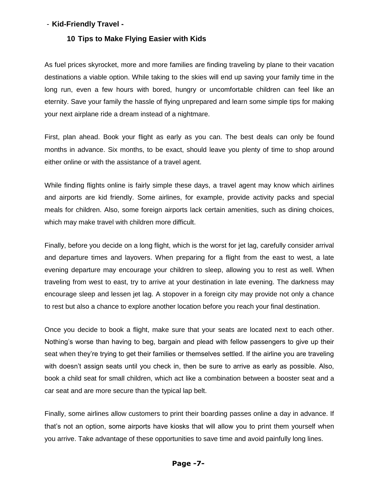### - **Kid-Friendly Travel -**

#### **10 Tips to Make Flying Easier with Kids**

As fuel prices skyrocket, more and more families are finding traveling by plane to their vacation destinations a viable option. While taking to the skies will end up saving your family time in the long run, even a few hours with bored, hungry or uncomfortable children can feel like an eternity. Save your family the hassle of flying unprepared and learn some simple tips for making your next airplane ride a dream instead of a nightmare.

First, plan ahead. Book your flight as early as you can. The best deals can only be found months in advance. Six months, to be exact, should leave you plenty of time to shop around either online or with the assistance of a travel agent.

While finding flights online is fairly simple these days, a travel agent may know which airlines and airports are kid friendly. Some airlines, for example, provide activity packs and special meals for children. Also, some foreign airports lack certain amenities, such as dining choices, which may make travel with children more difficult.

Finally, before you decide on a long flight, which is the worst for jet lag, carefully consider arrival and departure times and layovers. When preparing for a flight from the east to west, a late evening departure may encourage your children to sleep, allowing you to rest as well. When traveling from west to east, try to arrive at your destination in late evening. The darkness may encourage sleep and lessen jet lag. A stopover in a foreign city may provide not only a chance to rest but also a chance to explore another location before you reach your final destination.

Once you decide to book a flight, make sure that your seats are located next to each other. Nothing"s worse than having to beg, bargain and plead with fellow passengers to give up their seat when they're trying to get their families or themselves settled. If the airline you are traveling with doesn't assign seats until you check in, then be sure to arrive as early as possible. Also, book a child seat for small children, which act like a combination between a booster seat and a car seat and are more secure than the typical lap belt.

Finally, some airlines allow customers to print their boarding passes online a day in advance. If that"s not an option, some airports have kiosks that will allow you to print them yourself when you arrive. Take advantage of these opportunities to save time and avoid painfully long lines.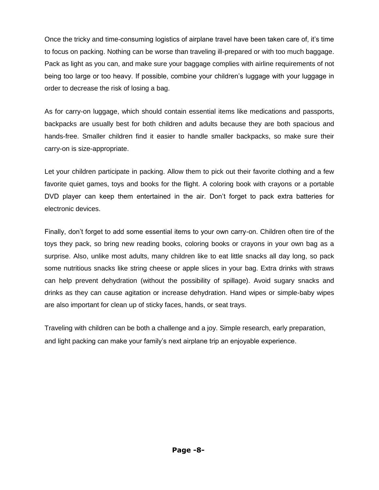Once the tricky and time-consuming logistics of airplane travel have been taken care of, it"s time to focus on packing. Nothing can be worse than traveling ill-prepared or with too much baggage. Pack as light as you can, and make sure your baggage complies with airline requirements of not being too large or too heavy. If possible, combine your children"s luggage with your luggage in order to decrease the risk of losing a bag.

As for carry-on luggage, which should contain essential items like medications and passports, backpacks are usually best for both children and adults because they are both spacious and hands-free. Smaller children find it easier to handle smaller backpacks, so make sure their carry-on is size-appropriate.

Let your children participate in packing. Allow them to pick out their favorite clothing and a few favorite quiet games, toys and books for the flight. A coloring book with crayons or a portable DVD player can keep them entertained in the air. Don't forget to pack extra batteries for electronic devices.

Finally, don"t forget to add some essential items to your own carry-on. Children often tire of the toys they pack, so bring new reading books, coloring books or crayons in your own bag as a surprise. Also, unlike most adults, many children like to eat little snacks all day long, so pack some nutritious snacks like string cheese or apple slices in your bag. Extra drinks with straws can help prevent dehydration (without the possibility of spillage). Avoid sugary snacks and drinks as they can cause agitation or increase dehydration. Hand wipes or simple-baby wipes are also important for clean up of sticky faces, hands, or seat trays.

Traveling with children can be both a challenge and a joy. Simple research, early preparation, and light packing can make your family"s next airplane trip an enjoyable experience.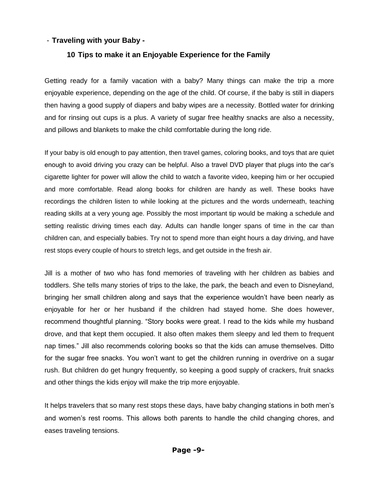### - **Traveling with your Baby -**

### **10 Tips to make it an Enjoyable Experience for the Family**

Getting ready for a family vacation with a baby? Many things can make the trip a more enjoyable experience, depending on the age of the child. Of course, if the baby is still in diapers then having a good supply of diapers and baby wipes are a necessity. Bottled water for drinking and for rinsing out cups is a plus. A variety of sugar free healthy snacks are also a necessity, and pillows and blankets to make the child comfortable during the long ride.

If your baby is old enough to pay attention, then travel games, coloring books, and toys that are quiet enough to avoid driving you crazy can be helpful. Also a travel DVD player that plugs into the car"s cigarette lighter for power will allow the child to watch a favorite video, keeping him or her occupied and more comfortable. Read along books for children are handy as well. These books have recordings the children listen to while looking at the pictures and the words underneath, teaching reading skills at a very young age. Possibly the most important tip would be making a schedule and setting realistic driving times each day. Adults can handle longer spans of time in the car than children can, and especially babies. Try not to spend more than eight hours a day driving, and have rest stops every couple of hours to stretch legs, and get outside in the fresh air.

Jill is a mother of two who has fond memories of traveling with her children as babies and toddlers. She tells many stories of trips to the lake, the park, the beach and even to Disneyland, bringing her small children along and says that the experience wouldn"t have been nearly as enjoyable for her or her husband if the children had stayed home. She does however, recommend thoughtful planning. "Story books were great. I read to the kids while my husband drove, and that kept them occupied. It also often makes them sleepy and led them to frequent nap times." Jill also recommends coloring books so that the kids can amuse themselves. Ditto for the sugar free snacks. You won't want to get the children running in overdrive on a sugar rush. But children do get hungry frequently, so keeping a good supply of crackers, fruit snacks and other things the kids enjoy will make the trip more enjoyable.

It helps travelers that so many rest stops these days, have baby changing stations in both men"s and women"s rest rooms. This allows both parents to handle the child changing chores, and eases traveling tensions.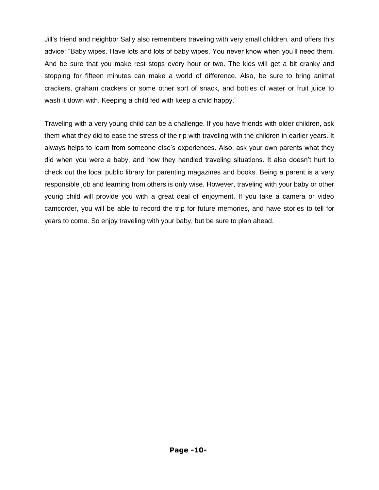Jill"s friend and neighbor Sally also remembers traveling with very small children, and offers this advice: "Baby wipes. Have lots and lots of baby wipes. You never know when you"ll need them. And be sure that you make rest stops every hour or two. The kids will get a bit cranky and stopping for fifteen minutes can make a world of difference. Also, be sure to bring animal crackers, graham crackers or some other sort of snack, and bottles of water or fruit juice to wash it down with. Keeping a child fed with keep a child happy."

Traveling with a very young child can be a challenge. If you have friends with older children, ask them what they did to ease the stress of the rip with traveling with the children in earlier years. It always helps to learn from someone else"s experiences. Also, ask your own parents what they did when you were a baby, and how they handled traveling situations. It also doesn"t hurt to check out the local public library for parenting magazines and books. Being a parent is a very responsible job and learning from others is only wise. However, traveling with your baby or other young child will provide you with a great deal of enjoyment. If you take a camera or video camcorder, you will be able to record the trip for future memories, and have stories to tell for years to come. So enjoy traveling with your baby, but be sure to plan ahead.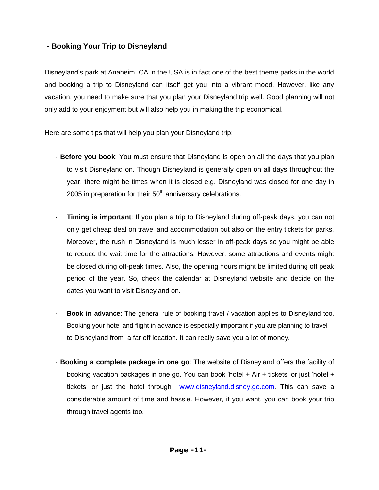# **- Booking Your Trip to Disneyland**

Disneyland"s park at Anaheim, CA in the USA is in fact one of the best theme parks in the world and booking a trip to Disneyland can itself get you into a vibrant mood. However, like any vacation, you need to make sure that you plan your Disneyland trip well. Good planning will not only add to your enjoyment but will also help you in making the trip economical.

Here are some tips that will help you plan your Disneyland trip:

- · **Before you book**: You must ensure that Disneyland is open on all the days that you plan to visit Disneyland on. Though Disneyland is generally open on all days throughout the year, there might be times when it is closed e.g. Disneyland was closed for one day in 2005 in preparation for their  $50<sup>th</sup>$  anniversary celebrations.
- **Timing is important:** If you plan a trip to Disneyland during off-peak days, you can not only get cheap deal on travel and accommodation but also on the entry tickets for parks. Moreover, the rush in Disneyland is much lesser in off-peak days so you might be able to reduce the wait time for the attractions. However, some attractions and events might be closed during off-peak times. Also, the opening hours might be limited during off peak period of the year. So, check the calendar at Disneyland website and decide on the dates you want to visit Disneyland on.
- · **Book in advance**: The general rule of booking travel / vacation applies to Disneyland too. Booking your hotel and flight in advance is especially important if you are planning to travel to Disneyland from a far off location. It can really save you a lot of money.
- · **Booking a complete package in one go**: The website of Disneyland offers the facility of booking vacation packages in one go. You can book "hotel + Air + tickets" or just "hotel + tickets' or just the hotel through [www.disneyland.disney.go.com](http://www.disneyland.disney.go.com/). This can save a considerable amount of time and hassle. However, if you want, you can book your trip through travel agents too.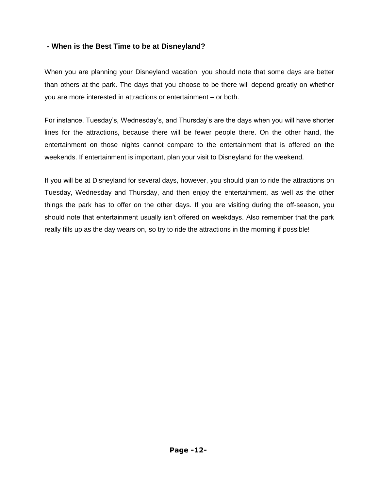## **- When is the Best Time to be at Disneyland?**

When you are planning your Disneyland vacation, you should note that some days are better than others at the park. The days that you choose to be there will depend greatly on whether you are more interested in attractions or entertainment – or both.

For instance, Tuesday"s, Wednesday"s, and Thursday"s are the days when you will have shorter lines for the attractions, because there will be fewer people there. On the other hand, the entertainment on those nights cannot compare to the entertainment that is offered on the weekends. If entertainment is important, plan your visit to Disneyland for the weekend.

If you will be at Disneyland for several days, however, you should plan to ride the attractions on Tuesday, Wednesday and Thursday, and then enjoy the entertainment, as well as the other things the park has to offer on the other days. If you are visiting during the off-season, you should note that entertainment usually isn't offered on weekdays. Also remember that the park really fills up as the day wears on, so try to ride the attractions in the morning if possible!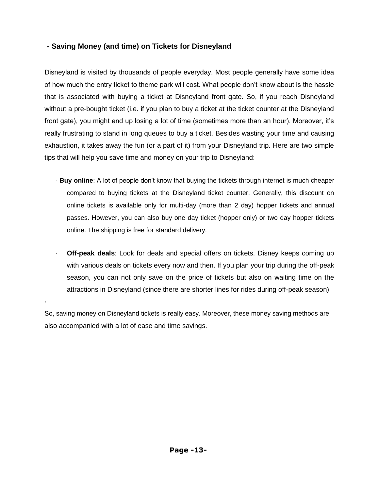# **- Saving Money (and time) on Tickets for Disneyland**

Disneyland is visited by thousands of people everyday. Most people generally have some idea of how much the entry ticket to theme park will cost. What people don"t know about is the hassle that is associated with buying a ticket at Disneyland front gate. So, if you reach Disneyland without a pre-bought ticket (i.e. if you plan to buy a ticket at the ticket counter at the Disneyland front gate), you might end up losing a lot of time (sometimes more than an hour). Moreover, it"s really frustrating to stand in long queues to buy a ticket. Besides wasting your time and causing exhaustion, it takes away the fun (or a part of it) from your Disneyland trip. Here are two simple tips that will help you save time and money on your trip to Disneyland:

- · **Buy online**: A lot of people don"t know that buying the tickets through internet is much cheaper compared to buying tickets at the Disneyland ticket counter. Generally, this discount on online tickets is available only for multi-day (more than 2 day) hopper tickets and annual passes. However, you can also buy one day ticket (hopper only) or two day hopper tickets online. The shipping is free for standard delivery.
- **Off-peak deals**: Look for deals and special offers on tickets. Disney keeps coming up with various deals on tickets every now and then. If you plan your trip during the off-peak season, you can not only save on the price of tickets but also on waiting time on the attractions in Disneyland (since there are shorter lines for rides during off-peak season)

So, saving money on Disneyland tickets is really easy. Moreover, these money saving methods are also accompanied with a lot of ease and time savings.

·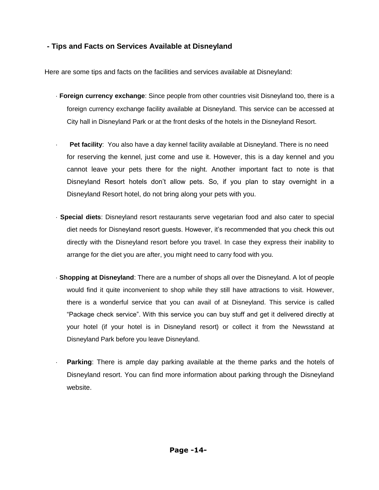## **- Tips and Facts on Services Available at Disneyland**

Here are some tips and facts on the facilities and services available at Disneyland:

- · **Foreign currency exchange**: Since people from other countries visit Disneyland too, there is a foreign currency exchange facility available at Disneyland. This service can be accessed at City hall in Disneyland Park or at the front desks of the hotels in the Disneyland Resort.
	- **Pet facility:** You also have a day kennel facility available at Disneyland. There is no need for reserving the kennel, just come and use it. However, this is a day kennel and you cannot leave your pets there for the night. Another important fact to note is that Disneyland Resort hotels don"t allow pets. So, if you plan to stay overnight in a Disneyland Resort hotel, do not bring along your pets with you.
- · **Special diets**: Disneyland resort restaurants serve vegetarian food and also cater to special diet needs for Disneyland resort guests. However, it"s recommended that you check this out directly with the Disneyland resort before you travel. In case they express their inability to arrange for the diet you are after, you might need to carry food with you.
- · **Shopping at Disneyland**: There are a number of shops all over the Disneyland. A lot of people would find it quite inconvenient to shop while they still have attractions to visit. However, there is a wonderful service that you can avail of at Disneyland. This service is called "Package check service". With this service you can buy stuff and get it delivered directly at your hotel (if your hotel is in Disneyland resort) or collect it from the Newsstand at Disneyland Park before you leave Disneyland.
	- **Parking:** There is ample day parking available at the theme parks and the hotels of Disneyland resort. You can find more information about parking through the Disneyland website.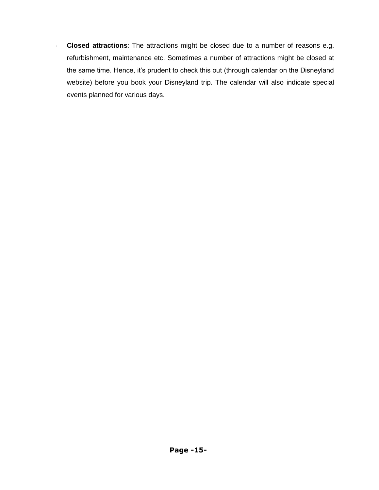· **Closed attractions**: The attractions might be closed due to a number of reasons e.g. refurbishment, maintenance etc. Sometimes a number of attractions might be closed at the same time. Hence, it's prudent to check this out (through calendar on the Disneyland website) before you book your Disneyland trip. The calendar will also indicate special events planned for various days.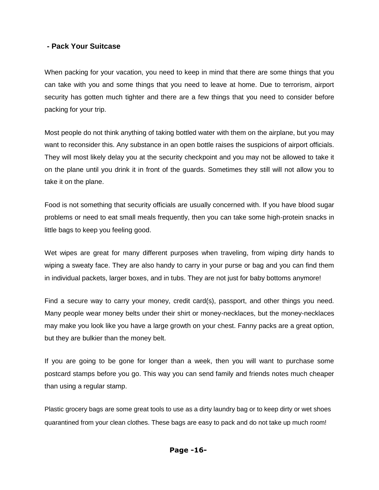### **- Pack Your Suitcase**

When packing for your vacation, you need to keep in mind that there are some things that you can take with you and some things that you need to leave at home. Due to terrorism, airport security has gotten much tighter and there are a few things that you need to consider before packing for your trip.

Most people do not think anything of taking bottled water with them on the airplane, but you may want to reconsider this. Any substance in an open bottle raises the suspicions of airport officials. They will most likely delay you at the security checkpoint and you may not be allowed to take it on the plane until you drink it in front of the guards. Sometimes they still will not allow you to take it on the plane.

Food is not something that security officials are usually concerned with. If you have blood sugar problems or need to eat small meals frequently, then you can take some high-protein snacks in little bags to keep you feeling good.

Wet wipes are great for many different purposes when traveling, from wiping dirty hands to wiping a sweaty face. They are also handy to carry in your purse or bag and you can find them in individual packets, larger boxes, and in tubs. They are not just for baby bottoms anymore!

Find a secure way to carry your money, credit card(s), passport, and other things you need. Many people wear money belts under their shirt or money-necklaces, but the money-necklaces may make you look like you have a large growth on your chest. Fanny packs are a great option, but they are bulkier than the money belt.

If you are going to be gone for longer than a week, then you will want to purchase some postcard stamps before you go. This way you can send family and friends notes much cheaper than using a regular stamp.

Plastic grocery bags are some great tools to use as a dirty laundry bag or to keep dirty or wet shoes quarantined from your clean clothes. These bags are easy to pack and do not take up much room!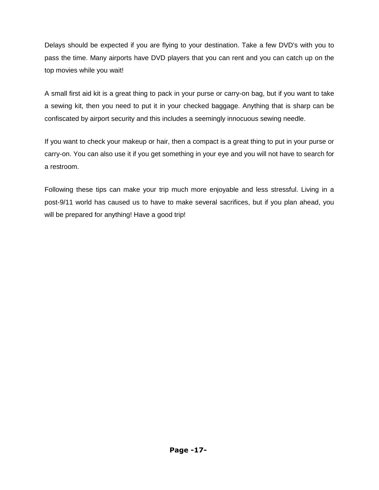Delays should be expected if you are flying to your destination. Take a few DVD's with you to pass the time. Many airports have DVD players that you can rent and you can catch up on the top movies while you wait!

A small first aid kit is a great thing to pack in your purse or carry-on bag, but if you want to take a sewing kit, then you need to put it in your checked baggage. Anything that is sharp can be confiscated by airport security and this includes a seemingly innocuous sewing needle.

If you want to check your makeup or hair, then a compact is a great thing to put in your purse or carry-on. You can also use it if you get something in your eye and you will not have to search for a restroom.

Following these tips can make your trip much more enjoyable and less stressful. Living in a post-9/11 world has caused us to have to make several sacrifices, but if you plan ahead, you will be prepared for anything! Have a good trip!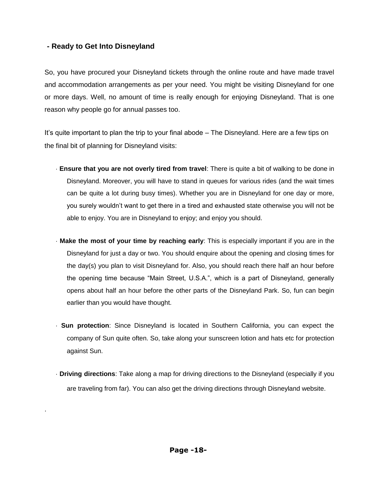## **- Ready to Get Into Disneyland**

·

So, you have procured your Disneyland tickets through the online route and have made travel and accommodation arrangements as per your need. You might be visiting Disneyland for one or more days. Well, no amount of time is really enough for enjoying Disneyland. That is one reason why people go for annual passes too.

It's quite important to plan the trip to your final abode – The Disneyland. Here are a few tips on the final bit of planning for Disneyland visits:

- · **Ensure that you are not overly tired from travel**: There is quite a bit of walking to be done in Disneyland. Moreover, you will have to stand in queues for various rides (and the wait times can be quite a lot during busy times). Whether you are in Disneyland for one day or more, you surely wouldn"t want to get there in a tired and exhausted state otherwise you will not be able to enjoy. You are in Disneyland to enjoy; and enjoy you should.
- · **Make the most of your time by reaching early**: This is especially important if you are in the Disneyland for just a day or two. You should enquire about the opening and closing times for the day(s) you plan to visit Disneyland for. Also, you should reach there half an hour before the opening time because "Main Street, U.S.A.", which is a part of Disneyland, generally opens about half an hour before the other parts of the Disneyland Park. So, fun can begin earlier than you would have thought.
- · **Sun protection**: Since Disneyland is located in Southern California, you can expect the company of Sun quite often. So, take along your sunscreen lotion and hats etc for protection against Sun.
- · **Driving directions**: Take along a map for driving directions to the Disneyland (especially if you are traveling from far). You can also get the driving directions through Disneyland website.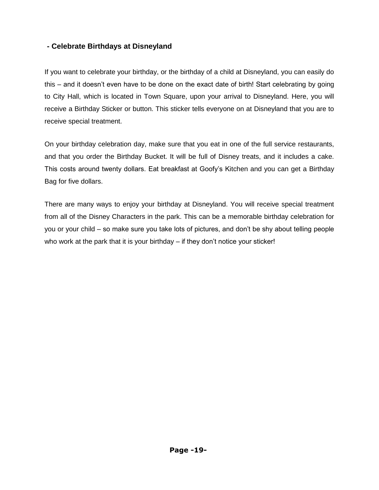# **- Celebrate Birthdays at Disneyland**

If you want to celebrate your birthday, or the birthday of a child at Disneyland, you can easily do this – and it doesn"t even have to be done on the exact date of birth! Start celebrating by going to City Hall, which is located in Town Square, upon your arrival to Disneyland. Here, you will receive a Birthday Sticker or button. This sticker tells everyone on at Disneyland that you are to receive special treatment.

On your birthday celebration day, make sure that you eat in one of the full service restaurants, and that you order the Birthday Bucket. It will be full of Disney treats, and it includes a cake. This costs around twenty dollars. Eat breakfast at Goofy"s Kitchen and you can get a Birthday Bag for five dollars.

There are many ways to enjoy your birthday at Disneyland. You will receive special treatment from all of the Disney Characters in the park. This can be a memorable birthday celebration for you or your child – so make sure you take lots of pictures, and don"t be shy about telling people who work at the park that it is your birthday – if they don't notice your sticker!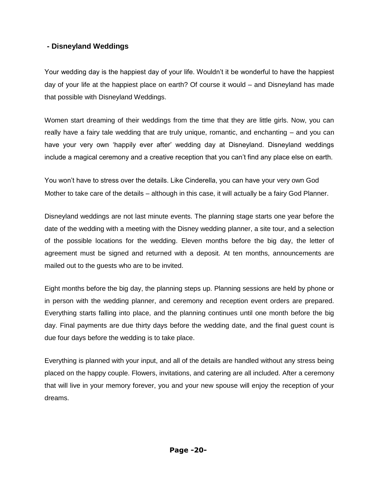# **- Disneyland Weddings**

Your wedding day is the happiest day of your life. Wouldn"t it be wonderful to have the happiest day of your life at the happiest place on earth? Of course it would – and Disneyland has made that possible with Disneyland Weddings.

Women start dreaming of their weddings from the time that they are little girls. Now, you can really have a fairy tale wedding that are truly unique, romantic, and enchanting – and you can have your very own 'happily ever after' wedding day at Disneyland. Disneyland weddings include a magical ceremony and a creative reception that you can"t find any place else on earth.

You won"t have to stress over the details. Like Cinderella, you can have your very own God Mother to take care of the details – although in this case, it will actually be a fairy God Planner.

Disneyland weddings are not last minute events. The planning stage starts one year before the date of the wedding with a meeting with the Disney wedding planner, a site tour, and a selection of the possible locations for the wedding. Eleven months before the big day, the letter of agreement must be signed and returned with a deposit. At ten months, announcements are mailed out to the guests who are to be invited.

Eight months before the big day, the planning steps up. Planning sessions are held by phone or in person with the wedding planner, and ceremony and reception event orders are prepared. Everything starts falling into place, and the planning continues until one month before the big day. Final payments are due thirty days before the wedding date, and the final guest count is due four days before the wedding is to take place.

Everything is planned with your input, and all of the details are handled without any stress being placed on the happy couple. Flowers, invitations, and catering are all included. After a ceremony that will live in your memory forever, you and your new spouse will enjoy the reception of your dreams.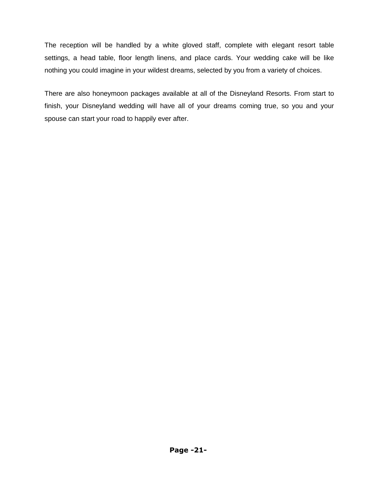The reception will be handled by a white gloved staff, complete with elegant resort table settings, a head table, floor length linens, and place cards. Your wedding cake will be like nothing you could imagine in your wildest dreams, selected by you from a variety of choices.

There are also honeymoon packages available at all of the Disneyland Resorts. From start to finish, your Disneyland wedding will have all of your dreams coming true, so you and your spouse can start your road to happily ever after.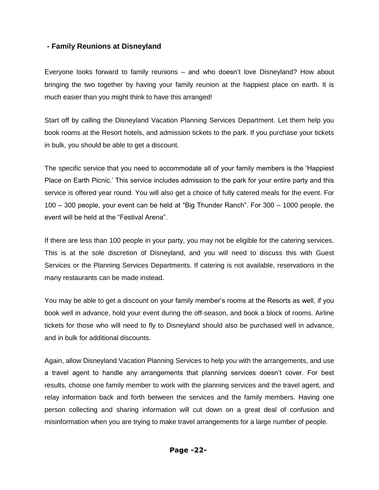## **- Family Reunions at Disneyland**

Everyone looks forward to family reunions – and who doesn"t love Disneyland? How about bringing the two together by having your family reunion at the happiest place on earth. It is much easier than you might think to have this arranged!

Start off by calling the Disneyland Vacation Planning Services Department. Let them help you book rooms at the Resort hotels, and admission tickets to the park. If you purchase your tickets in bulk, you should be able to get a discount.

The specific service that you need to accommodate all of your family members is the "Happiest Place on Earth Picnic.' This service includes admission to the park for your entire party and this service is offered year round. You will also get a choice of fully catered meals for the event. For 100 – 300 people, your event can be held at "Big Thunder Ranch". For 300 – 1000 people, the event will be held at the "Festival Arena".

If there are less than 100 people in your party, you may not be eligible for the catering services. This is at the sole discretion of Disneyland, and you will need to discuss this with Guest Services or the Planning Services Departments. If catering is not available, reservations in the many restaurants can be made instead.

You may be able to get a discount on your family member"s rooms at the Resorts as well, if you book well in advance, hold your event during the off-season, and book a block of rooms. Airline tickets for those who will need to fly to Disneyland should also be purchased well in advance, and in bulk for additional discounts.

Again, allow Disneyland Vacation Planning Services to help you with the arrangements, and use a travel agent to handle any arrangements that planning services doesn"t cover. For best results, choose one family member to work with the planning services and the travel agent, and relay information back and forth between the services and the family members. Having one person collecting and sharing information will cut down on a great deal of confusion and misinformation when you are trying to make travel arrangements for a large number of people.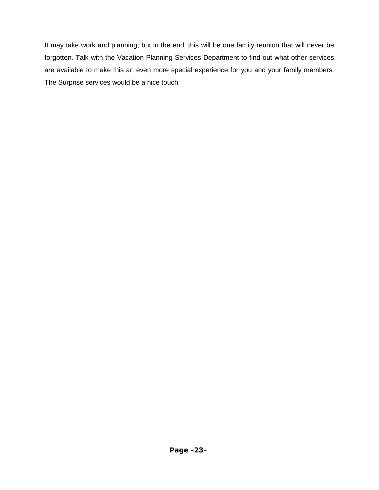It may take work and planning, but in the end, this will be one family reunion that will never be forgotten. Talk with the Vacation Planning Services Department to find out what other services are available to make this an even more special experience for you and your family members. The Surprise services would be a nice touch!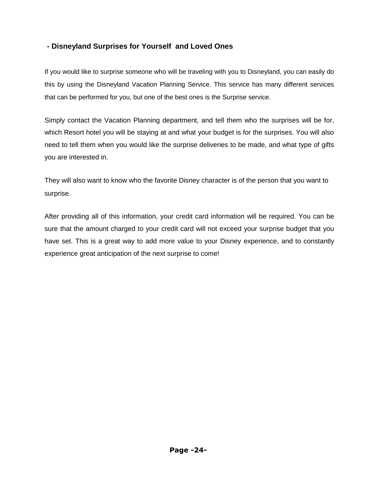# **- Disneyland Surprises for Yourself and Loved Ones**

If you would like to surprise someone who will be traveling with you to Disneyland, you can easily do this by using the Disneyland Vacation Planning Service. This service has many different services that can be performed for you, but one of the best ones is the Surprise service.

Simply contact the Vacation Planning department, and tell them who the surprises will be for, which Resort hotel you will be staying at and what your budget is for the surprises. You will also need to tell them when you would like the surprise deliveries to be made, and what type of gifts you are interested in.

They will also want to know who the favorite Disney character is of the person that you want to surprise.

After providing all of this information, your credit card information will be required. You can be sure that the amount charged to your credit card will not exceed your surprise budget that you have set. This is a great way to add more value to your Disney experience, and to constantly experience great anticipation of the next surprise to come!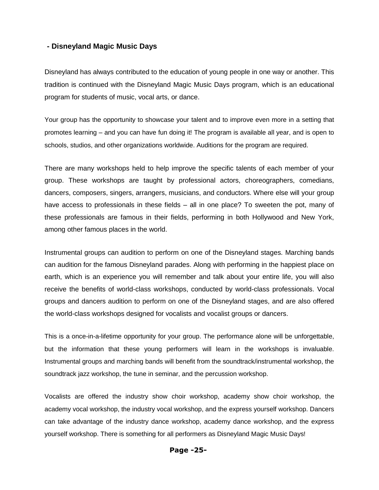#### **- Disneyland Magic Music Days**

Disneyland has always contributed to the education of young people in one way or another. This tradition is continued with the Disneyland Magic Music Days program, which is an educational program for students of music, vocal arts, or dance.

Your group has the opportunity to showcase your talent and to improve even more in a setting that promotes learning – and you can have fun doing it! The program is available all year, and is open to schools, studios, and other organizations worldwide. Auditions for the program are required.

There are many workshops held to help improve the specific talents of each member of your group. These workshops are taught by professional actors, choreographers, comedians, dancers, composers, singers, arrangers, musicians, and conductors. Where else will your group have access to professionals in these fields – all in one place? To sweeten the pot, many of these professionals are famous in their fields, performing in both Hollywood and New York, among other famous places in the world.

Instrumental groups can audition to perform on one of the Disneyland stages. Marching bands can audition for the famous Disneyland parades. Along with performing in the happiest place on earth, which is an experience you will remember and talk about your entire life, you will also receive the benefits of world-class workshops, conducted by world-class professionals. Vocal groups and dancers audition to perform on one of the Disneyland stages, and are also offered the world-class workshops designed for vocalists and vocalist groups or dancers.

This is a once-in-a-lifetime opportunity for your group. The performance alone will be unforgettable, but the information that these young performers will learn in the workshops is invaluable. Instrumental groups and marching bands will benefit from the soundtrack/instrumental workshop, the soundtrack jazz workshop, the tune in seminar, and the percussion workshop.

Vocalists are offered the industry show choir workshop, academy show choir workshop, the academy vocal workshop, the industry vocal workshop, and the express yourself workshop. Dancers can take advantage of the industry dance workshop, academy dance workshop, and the express yourself workshop. There is something for all performers as Disneyland Magic Music Days!

#### **Page -25-**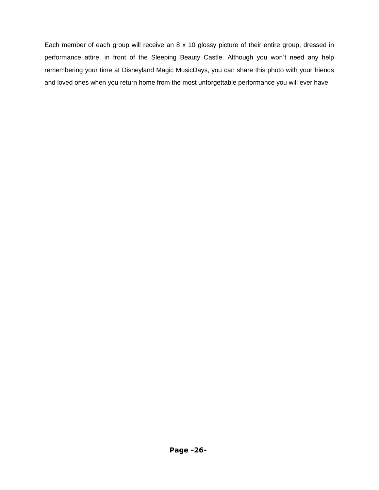Each member of each group will receive an 8 x 10 glossy picture of their entire group, dressed in performance attire, in front of the Sleeping Beauty Castle. Although you won"t need any help remembering your time at Disneyland Magic MusicDays, you can share this photo with your friends and loved ones when you return home from the most unforgettable performance you will ever have.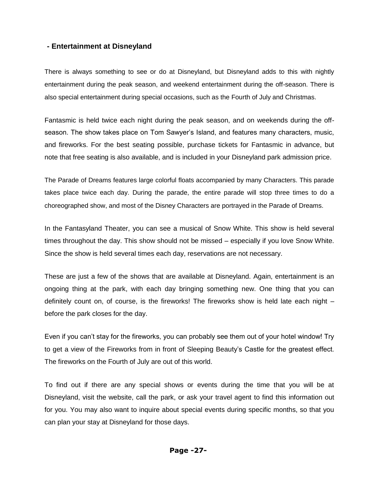### **- Entertainment at Disneyland**

There is always something to see or do at Disneyland, but Disneyland adds to this with nightly entertainment during the peak season, and weekend entertainment during the off-season. There is also special entertainment during special occasions, such as the Fourth of July and Christmas.

Fantasmic is held twice each night during the peak season, and on weekends during the offseason. The show takes place on Tom Sawyer's Island, and features many characters, music, and fireworks. For the best seating possible, purchase tickets for Fantasmic in advance, but note that free seating is also available, and is included in your Disneyland park admission price.

The Parade of Dreams features large colorful floats accompanied by many Characters. This parade takes place twice each day. During the parade, the entire parade will stop three times to do a choreographed show, and most of the Disney Characters are portrayed in the Parade of Dreams.

In the Fantasyland Theater, you can see a musical of Snow White. This show is held several times throughout the day. This show should not be missed – especially if you love Snow White. Since the show is held several times each day, reservations are not necessary.

These are just a few of the shows that are available at Disneyland. Again, entertainment is an ongoing thing at the park, with each day bringing something new. One thing that you can definitely count on, of course, is the fireworks! The fireworks show is held late each night – before the park closes for the day.

Even if you can't stay for the fireworks, you can probably see them out of your hotel window! Try to get a view of the Fireworks from in front of Sleeping Beauty"s Castle for the greatest effect. The fireworks on the Fourth of July are out of this world.

To find out if there are any special shows or events during the time that you will be at Disneyland, visit the website, call the park, or ask your travel agent to find this information out for you. You may also want to inquire about special events during specific months, so that you can plan your stay at Disneyland for those days.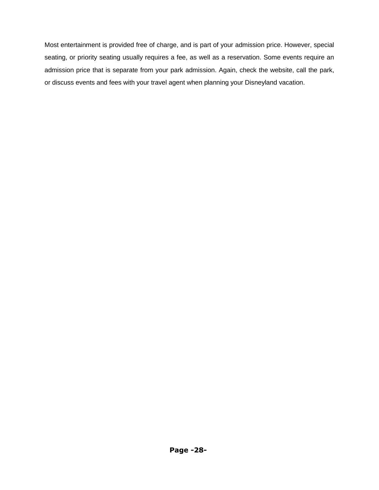Most entertainment is provided free of charge, and is part of your admission price. However, special seating, or priority seating usually requires a fee, as well as a reservation. Some events require an admission price that is separate from your park admission. Again, check the website, call the park, or discuss events and fees with your travel agent when planning your Disneyland vacation.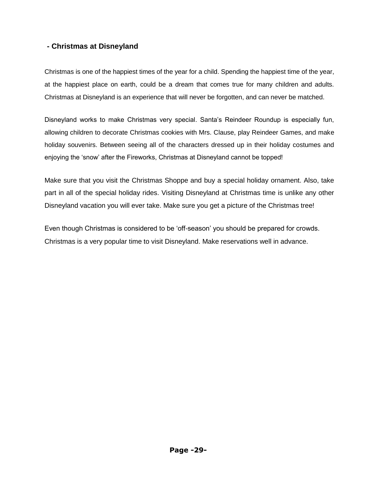# **- Christmas at Disneyland**

Christmas is one of the happiest times of the year for a child. Spending the happiest time of the year, at the happiest place on earth, could be a dream that comes true for many children and adults. Christmas at Disneyland is an experience that will never be forgotten, and can never be matched.

Disneyland works to make Christmas very special. Santa"s Reindeer Roundup is especially fun, allowing children to decorate Christmas cookies with Mrs. Clause, play Reindeer Games, and make holiday souvenirs. Between seeing all of the characters dressed up in their holiday costumes and enjoying the "snow" after the Fireworks, Christmas at Disneyland cannot be topped!

Make sure that you visit the Christmas Shoppe and buy a special holiday ornament. Also, take part in all of the special holiday rides. Visiting Disneyland at Christmas time is unlike any other Disneyland vacation you will ever take. Make sure you get a picture of the Christmas tree!

Even though Christmas is considered to be "off-season" you should be prepared for crowds. Christmas is a very popular time to visit Disneyland. Make reservations well in advance.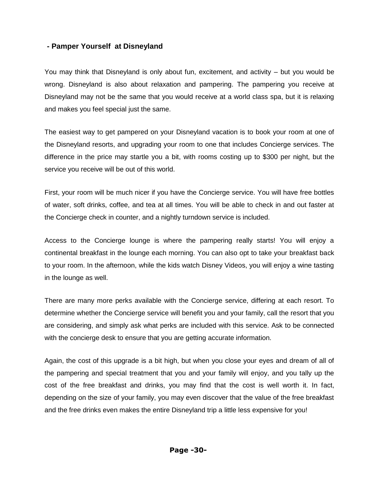## **- Pamper Yourself at Disneyland**

You may think that Disneyland is only about fun, excitement, and activity – but you would be wrong. Disneyland is also about relaxation and pampering. The pampering you receive at Disneyland may not be the same that you would receive at a world class spa, but it is relaxing and makes you feel special just the same.

The easiest way to get pampered on your Disneyland vacation is to book your room at one of the Disneyland resorts, and upgrading your room to one that includes Concierge services. The difference in the price may startle you a bit, with rooms costing up to \$300 per night, but the service you receive will be out of this world.

First, your room will be much nicer if you have the Concierge service. You will have free bottles of water, soft drinks, coffee, and tea at all times. You will be able to check in and out faster at the Concierge check in counter, and a nightly turndown service is included.

Access to the Concierge lounge is where the pampering really starts! You will enjoy a continental breakfast in the lounge each morning. You can also opt to take your breakfast back to your room. In the afternoon, while the kids watch Disney Videos, you will enjoy a wine tasting in the lounge as well.

There are many more perks available with the Concierge service, differing at each resort. To determine whether the Concierge service will benefit you and your family, call the resort that you are considering, and simply ask what perks are included with this service. Ask to be connected with the concierge desk to ensure that you are getting accurate information.

Again, the cost of this upgrade is a bit high, but when you close your eyes and dream of all of the pampering and special treatment that you and your family will enjoy, and you tally up the cost of the free breakfast and drinks, you may find that the cost is well worth it. In fact, depending on the size of your family, you may even discover that the value of the free breakfast and the free drinks even makes the entire Disneyland trip a little less expensive for you!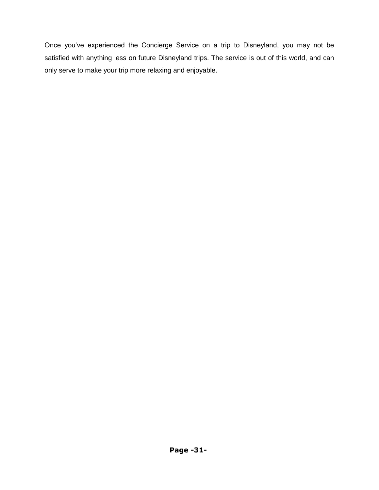Once you"ve experienced the Concierge Service on a trip to Disneyland, you may not be satisfied with anything less on future Disneyland trips. The service is out of this world, and can only serve to make your trip more relaxing and enjoyable.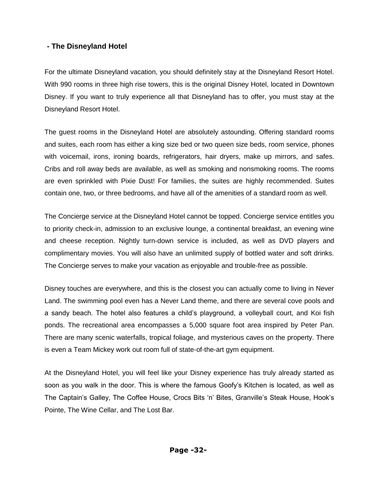## **- The Disneyland Hotel**

For the ultimate Disneyland vacation, you should definitely stay at the Disneyland Resort Hotel. With 990 rooms in three high rise towers, this is the original Disney Hotel, located in Downtown Disney. If you want to truly experience all that Disneyland has to offer, you must stay at the Disneyland Resort Hotel.

The guest rooms in the Disneyland Hotel are absolutely astounding. Offering standard rooms and suites, each room has either a king size bed or two queen size beds, room service, phones with voicemail, irons, ironing boards, refrigerators, hair dryers, make up mirrors, and safes. Cribs and roll away beds are available, as well as smoking and nonsmoking rooms. The rooms are even sprinkled with Pixie Dust! For families, the suites are highly recommended. Suites contain one, two, or three bedrooms, and have all of the amenities of a standard room as well.

The Concierge service at the Disneyland Hotel cannot be topped. Concierge service entitles you to priority check-in, admission to an exclusive lounge, a continental breakfast, an evening wine and cheese reception. Nightly turn-down service is included, as well as DVD players and complimentary movies. You will also have an unlimited supply of bottled water and soft drinks. The Concierge serves to make your vacation as enjoyable and trouble-free as possible.

Disney touches are everywhere, and this is the closest you can actually come to living in Never Land. The swimming pool even has a Never Land theme, and there are several cove pools and a sandy beach. The hotel also features a child"s playground, a volleyball court, and Koi fish ponds. The recreational area encompasses a 5,000 square foot area inspired by Peter Pan. There are many scenic waterfalls, tropical foliage, and mysterious caves on the property. There is even a Team Mickey work out room full of state-of-the-art gym equipment.

At the Disneyland Hotel, you will feel like your Disney experience has truly already started as soon as you walk in the door. This is where the famous Goofy"s Kitchen is located, as well as The Captain"s Galley, The Coffee House, Crocs Bits "n" Bites, Granville"s Steak House, Hook"s Pointe, The Wine Cellar, and The Lost Bar.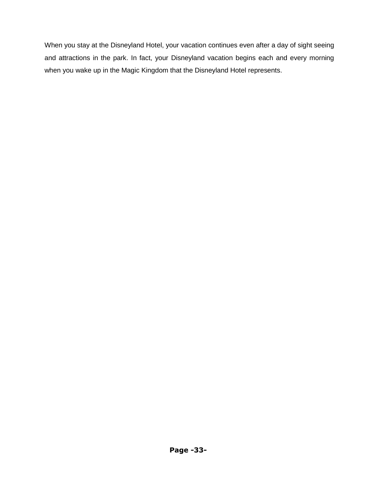When you stay at the Disneyland Hotel, your vacation continues even after a day of sight seeing and attractions in the park. In fact, your Disneyland vacation begins each and every morning when you wake up in the Magic Kingdom that the Disneyland Hotel represents.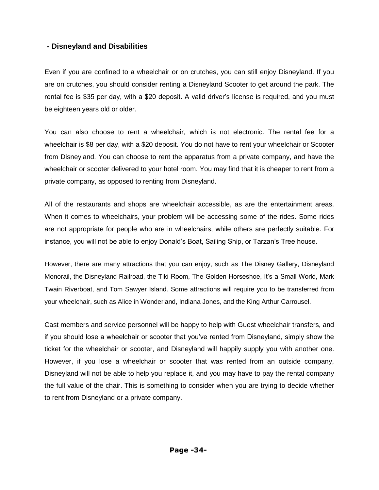## **- Disneyland and Disabilities**

Even if you are confined to a wheelchair or on crutches, you can still enjoy Disneyland. If you are on crutches, you should consider renting a Disneyland Scooter to get around the park. The rental fee is \$35 per day, with a \$20 deposit. A valid driver"s license is required, and you must be eighteen years old or older.

You can also choose to rent a wheelchair, which is not electronic. The rental fee for a wheelchair is \$8 per day, with a \$20 deposit. You do not have to rent your wheelchair or Scooter from Disneyland. You can choose to rent the apparatus from a private company, and have the wheelchair or scooter delivered to your hotel room. You may find that it is cheaper to rent from a private company, as opposed to renting from Disneyland.

All of the restaurants and shops are wheelchair accessible, as are the entertainment areas. When it comes to wheelchairs, your problem will be accessing some of the rides. Some rides are not appropriate for people who are in wheelchairs, while others are perfectly suitable. For instance, you will not be able to enjoy Donald"s Boat, Sailing Ship, or Tarzan"s Tree house.

However, there are many attractions that you can enjoy, such as The Disney Gallery, Disneyland Monorail, the Disneyland Railroad, the Tiki Room, The Golden Horseshoe, It"s a Small World, Mark Twain Riverboat, and Tom Sawyer Island. Some attractions will require you to be transferred from your wheelchair, such as Alice in Wonderland, Indiana Jones, and the King Arthur Carrousel.

Cast members and service personnel will be happy to help with Guest wheelchair transfers, and if you should lose a wheelchair or scooter that you"ve rented from Disneyland, simply show the ticket for the wheelchair or scooter, and Disneyland will happily supply you with another one. However, if you lose a wheelchair or scooter that was rented from an outside company, Disneyland will not be able to help you replace it, and you may have to pay the rental company the full value of the chair. This is something to consider when you are trying to decide whether to rent from Disneyland or a private company.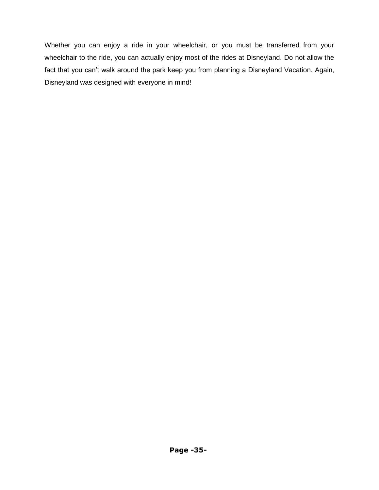Whether you can enjoy a ride in your wheelchair, or you must be transferred from your wheelchair to the ride, you can actually enjoy most of the rides at Disneyland. Do not allow the fact that you can't walk around the park keep you from planning a Disneyland Vacation. Again, Disneyland was designed with everyone in mind!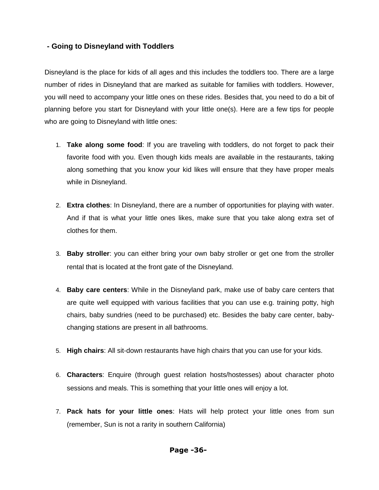## **- Going to Disneyland with Toddlers**

Disneyland is the place for kids of all ages and this includes the toddlers too. There are a large number of rides in Disneyland that are marked as suitable for families with toddlers. However, you will need to accompany your little ones on these rides. Besides that, you need to do a bit of planning before you start for Disneyland with your little one(s). Here are a few tips for people who are going to Disneyland with little ones:

- 1. **Take along some food**: If you are traveling with toddlers, do not forget to pack their favorite food with you. Even though kids meals are available in the restaurants, taking along something that you know your kid likes will ensure that they have proper meals while in Disneyland.
- 2. **Extra clothes**: In Disneyland, there are a number of opportunities for playing with water. And if that is what your little ones likes, make sure that you take along extra set of clothes for them.
- 3. **Baby stroller**: you can either bring your own baby stroller or get one from the stroller rental that is located at the front gate of the Disneyland.
- 4. **Baby care centers**: While in the Disneyland park, make use of baby care centers that are quite well equipped with various facilities that you can use e.g. training potty, high chairs, baby sundries (need to be purchased) etc. Besides the baby care center, babychanging stations are present in all bathrooms.
- 5. **High chairs**: All sit-down restaurants have high chairs that you can use for your kids.
- 6. **Characters**: Enquire (through guest relation hosts/hostesses) about character photo sessions and meals. This is something that your little ones will enjoy a lot.
- 7. **Pack hats for your little ones**: Hats will help protect your little ones from sun (remember, Sun is not a rarity in southern California)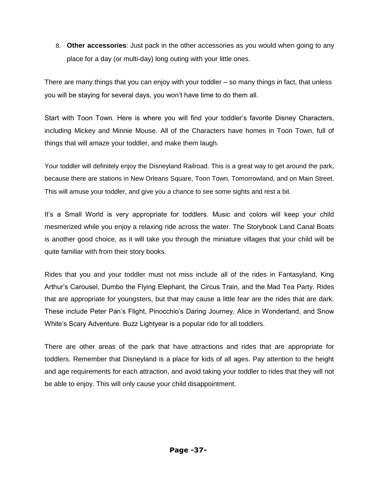8. **Other accessories**: Just pack in the other accessories as you would when going to any place for a day (or multi-day) long outing with your little ones.

There are many things that you can enjoy with your toddler – so many things in fact, that unless you will be staying for several days, you won"t have time to do them all.

Start with Toon Town. Here is where you will find your toddler"s favorite Disney Characters, including Mickey and Minnie Mouse. All of the Characters have homes in Toon Town, full of things that will amaze your toddler, and make them laugh.

Your toddler will definitely enjoy the Disneyland Railroad. This is a great way to get around the park, because there are stations in New Orleans Square, Toon Town, Tomorrowland, and on Main Street. This will amuse your toddler, and give you a chance to see some sights and rest a bit.

It's a Small World is very appropriate for toddlers. Music and colors will keep your child mesmerized while you enjoy a relaxing ride across the water. The Storybook Land Canal Boats is another good choice, as it will take you through the miniature villages that your child will be quite familiar with from their story books.

Rides that you and your toddler must not miss include all of the rides in Fantasyland, King Arthur"s Carousel, Dumbo the Flying Elephant, the Circus Train, and the Mad Tea Party. Rides that are appropriate for youngsters, but that may cause a little fear are the rides that are dark. These include Peter Pan"s Flight, Pinocchio"s Daring Journey, Alice in Wonderland, and Snow White's Scary Adventure. Buzz Lightyear is a popular ride for all toddlers.

There are other areas of the park that have attractions and rides that are appropriate for toddlers. Remember that Disneyland is a place for kids of all ages. Pay attention to the height and age requirements for each attraction, and avoid taking your toddler to rides that they will not be able to enjoy. This will only cause your child disappointment.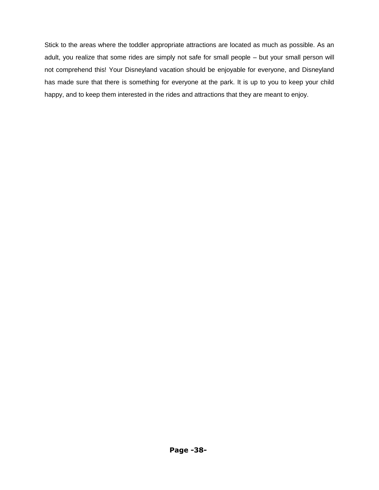Stick to the areas where the toddler appropriate attractions are located as much as possible. As an adult, you realize that some rides are simply not safe for small people – but your small person will not comprehend this! Your Disneyland vacation should be enjoyable for everyone, and Disneyland has made sure that there is something for everyone at the park. It is up to you to keep your child happy, and to keep them interested in the rides and attractions that they are meant to enjoy.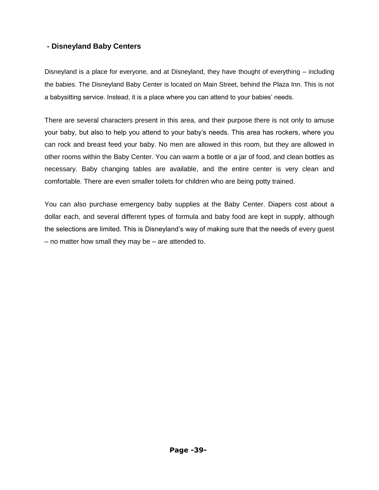# **- Disneyland Baby Centers**

Disneyland is a place for everyone, and at Disneyland, they have thought of everything – including the babies. The Disneyland Baby Center is located on Main Street, behind the Plaza Inn. This is not a babysitting service. Instead, it is a place where you can attend to your babies" needs.

There are several characters present in this area, and their purpose there is not only to amuse your baby, but also to help you attend to your baby"s needs. This area has rockers, where you can rock and breast feed your baby. No men are allowed in this room, but they are allowed in other rooms within the Baby Center. You can warm a bottle or a jar of food, and clean bottles as necessary. Baby changing tables are available, and the entire center is very clean and comfortable. There are even smaller toilets for children who are being potty trained.

You can also purchase emergency baby supplies at the Baby Center. Diapers cost about a dollar each, and several different types of formula and baby food are kept in supply, although the selections are limited. This is Disneyland"s way of making sure that the needs of every guest – no matter how small they may be – are attended to.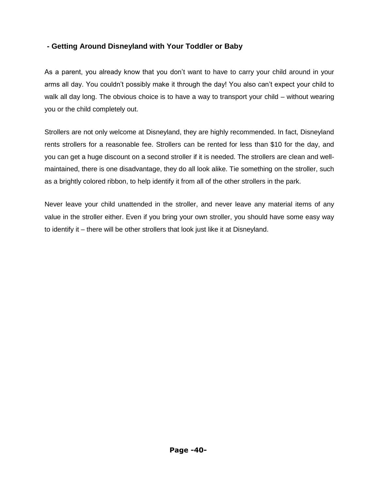# **- Getting Around Disneyland with Your Toddler or Baby**

As a parent, you already know that you don"t want to have to carry your child around in your arms all day. You couldn't possibly make it through the day! You also can't expect your child to walk all day long. The obvious choice is to have a way to transport your child – without wearing you or the child completely out.

Strollers are not only welcome at Disneyland, they are highly recommended. In fact, Disneyland rents strollers for a reasonable fee. Strollers can be rented for less than \$10 for the day, and you can get a huge discount on a second stroller if it is needed. The strollers are clean and wellmaintained, there is one disadvantage, they do all look alike. Tie something on the stroller, such as a brightly colored ribbon, to help identify it from all of the other strollers in the park.

Never leave your child unattended in the stroller, and never leave any material items of any value in the stroller either. Even if you bring your own stroller, you should have some easy way to identify it – there will be other strollers that look just like it at Disneyland.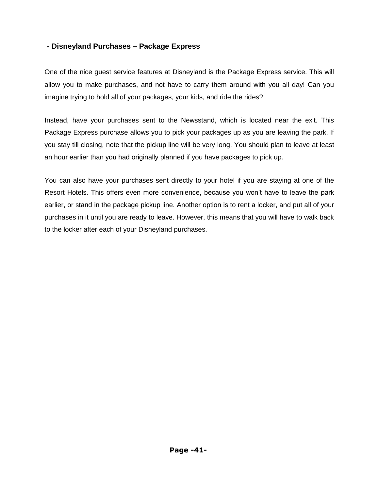# **- Disneyland Purchases – Package Express**

One of the nice guest service features at Disneyland is the Package Express service. This will allow you to make purchases, and not have to carry them around with you all day! Can you imagine trying to hold all of your packages, your kids, and ride the rides?

Instead, have your purchases sent to the Newsstand, which is located near the exit. This Package Express purchase allows you to pick your packages up as you are leaving the park. If you stay till closing, note that the pickup line will be very long. You should plan to leave at least an hour earlier than you had originally planned if you have packages to pick up.

You can also have your purchases sent directly to your hotel if you are staying at one of the Resort Hotels. This offers even more convenience, because you won"t have to leave the park earlier, or stand in the package pickup line. Another option is to rent a locker, and put all of your purchases in it until you are ready to leave. However, this means that you will have to walk back to the locker after each of your Disneyland purchases.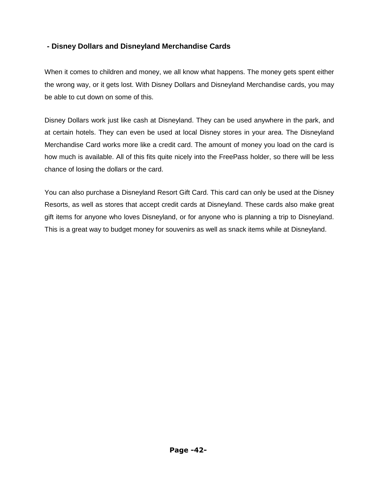# **- Disney Dollars and Disneyland Merchandise Cards**

When it comes to children and money, we all know what happens. The money gets spent either the wrong way, or it gets lost. With Disney Dollars and Disneyland Merchandise cards, you may be able to cut down on some of this.

Disney Dollars work just like cash at Disneyland. They can be used anywhere in the park, and at certain hotels. They can even be used at local Disney stores in your area. The Disneyland Merchandise Card works more like a credit card. The amount of money you load on the card is how much is available. All of this fits quite nicely into the FreePass holder, so there will be less chance of losing the dollars or the card.

You can also purchase a Disneyland Resort Gift Card. This card can only be used at the Disney Resorts, as well as stores that accept credit cards at Disneyland. These cards also make great gift items for anyone who loves Disneyland, or for anyone who is planning a trip to Disneyland. This is a great way to budget money for souvenirs as well as snack items while at Disneyland.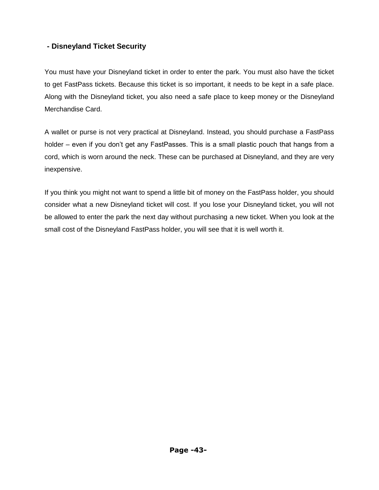# **- Disneyland Ticket Security**

You must have your Disneyland ticket in order to enter the park. You must also have the ticket to get FastPass tickets. Because this ticket is so important, it needs to be kept in a safe place. Along with the Disneyland ticket, you also need a safe place to keep money or the Disneyland Merchandise Card.

A wallet or purse is not very practical at Disneyland. Instead, you should purchase a FastPass holder – even if you don't get any FastPasses. This is a small plastic pouch that hangs from a cord, which is worn around the neck. These can be purchased at Disneyland, and they are very inexpensive.

If you think you might not want to spend a little bit of money on the FastPass holder, you should consider what a new Disneyland ticket will cost. If you lose your Disneyland ticket, you will not be allowed to enter the park the next day without purchasing a new ticket. When you look at the small cost of the Disneyland FastPass holder, you will see that it is well worth it.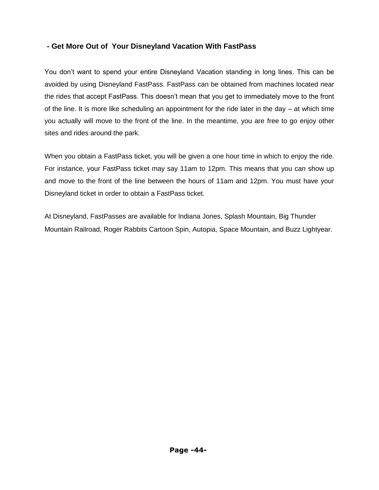# **- Get More Out of Your Disneyland Vacation With FastPass**

You don"t want to spend your entire Disneyland Vacation standing in long lines. This can be avoided by using Disneyland FastPass. FastPass can be obtained from machines located near the rides that accept FastPass. This doesn"t mean that you get to immediately move to the front of the line. It is more like scheduling an appointment for the ride later in the day – at which time you actually will move to the front of the line. In the meantime, you are free to go enjoy other sites and rides around the park.

When you obtain a FastPass ticket, you will be given a one hour time in which to enjoy the ride. For instance, your FastPass ticket may say 11am to 12pm. This means that you can show up and move to the front of the line between the hours of 11am and 12pm. You must have your Disneyland ticket in order to obtain a FastPass ticket.

At Disneyland, FastPasses are available for Indiana Jones, Splash Mountain, Big Thunder Mountain Railroad, Roger Rabbits Cartoon Spin, Autopia, Space Mountain, and Buzz Lightyear.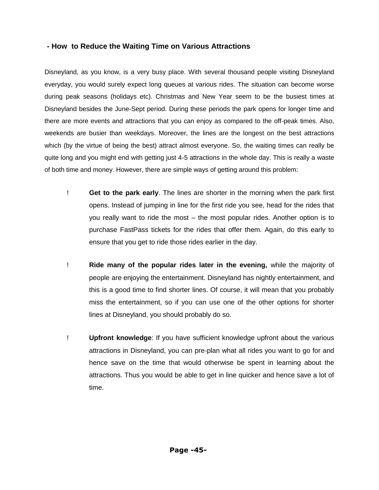### **- How to Reduce the Waiting Time on Various Attractions**

Disneyland, as you know, is a very busy place. With several thousand people visiting Disneyland everyday, you would surely expect long queues at various rides. The situation can become worse during peak seasons (holidays etc). Christmas and New Year seem to be the busiest times at Disneyland besides the June-Sept period. During these periods the park opens for longer time and there are more events and attractions that you can enjoy as compared to the off-peak times. Also, weekends are busier than weekdays. Moreover, the lines are the longest on the best attractions which (by the virtue of being the best) attract almost everyone. So, the waiting times can really be quite long and you might end with getting just 4-5 attractions in the whole day. This is really a waste of both time and money. However, there are simple ways of getting around this problem:

- ! **Get to the park early**. The lines are shorter in the morning when the park first opens. Instead of jumping in line for the first ride you see, head for the rides that you really want to ride the most – the most popular rides. Another option is to purchase FastPass tickets for the rides that offer them. Again, do this early to ensure that you get to ride those rides earlier in the day.
- ! **Ride many of the popular rides later in the evening,** while the majority of people are enjoying the entertainment. Disneyland has nightly entertainment, and this is a good time to find shorter lines. Of course, it will mean that you probably miss the entertainment, so if you can use one of the other options for shorter lines at Disneyland, you should probably do so.
- ! **Upfront knowledge**: If you have sufficient knowledge upfront about the various attractions in Disneyland, you can pre-plan what all rides you want to go for and hence save on the time that would otherwise be spent in learning about the attractions. Thus you would be able to get in line quicker and hence save a lot of time.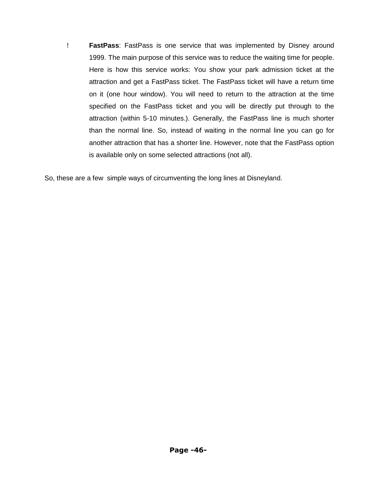! **FastPass**: FastPass is one service that was implemented by Disney around 1999. The main purpose of this service was to reduce the waiting time for people. Here is how this service works: You show your park admission ticket at the attraction and get a FastPass ticket. The FastPass ticket will have a return time on it (one hour window). You will need to return to the attraction at the time specified on the FastPass ticket and you will be directly put through to the attraction (within 5-10 minutes.). Generally, the FastPass line is much shorter than the normal line. So, instead of waiting in the normal line you can go for another attraction that has a shorter line. However, note that the FastPass option is available only on some selected attractions (not all).

So, these are a few simple ways of circumventing the long lines at Disneyland.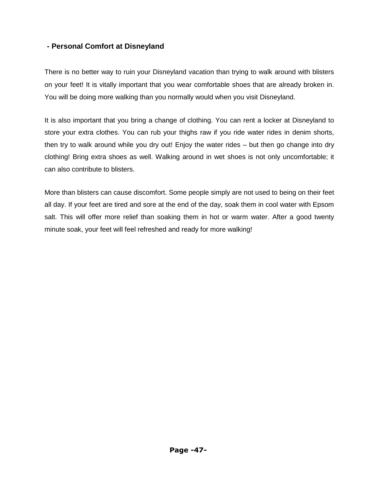# **- Personal Comfort at Disneyland**

There is no better way to ruin your Disneyland vacation than trying to walk around with blisters on your feet! It is vitally important that you wear comfortable shoes that are already broken in. You will be doing more walking than you normally would when you visit Disneyland.

It is also important that you bring a change of clothing. You can rent a locker at Disneyland to store your extra clothes. You can rub your thighs raw if you ride water rides in denim shorts, then try to walk around while you dry out! Enjoy the water rides – but then go change into dry clothing! Bring extra shoes as well. Walking around in wet shoes is not only uncomfortable; it can also contribute to blisters.

More than blisters can cause discomfort. Some people simply are not used to being on their feet all day. If your feet are tired and sore at the end of the day, soak them in cool water with Epsom salt. This will offer more relief than soaking them in hot or warm water. After a good twenty minute soak, your feet will feel refreshed and ready for more walking!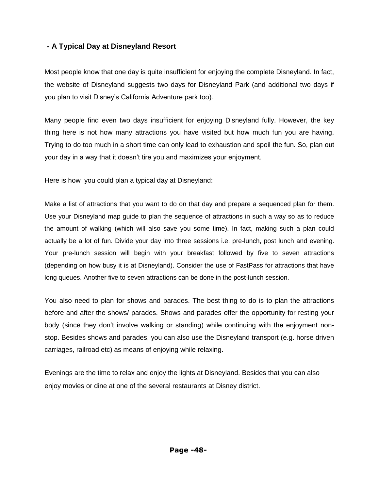# **- A Typical Day at Disneyland Resort**

Most people know that one day is quite insufficient for enjoying the complete Disneyland. In fact, the website of Disneyland suggests two days for Disneyland Park (and additional two days if you plan to visit Disney"s California Adventure park too).

Many people find even two days insufficient for enjoying Disneyland fully. However, the key thing here is not how many attractions you have visited but how much fun you are having. Trying to do too much in a short time can only lead to exhaustion and spoil the fun. So, plan out your day in a way that it doesn"t tire you and maximizes your enjoyment.

Here is how you could plan a typical day at Disneyland:

Make a list of attractions that you want to do on that day and prepare a sequenced plan for them. Use your Disneyland map guide to plan the sequence of attractions in such a way so as to reduce the amount of walking (which will also save you some time). In fact, making such a plan could actually be a lot of fun. Divide your day into three sessions i.e. pre-lunch, post lunch and evening. Your pre-lunch session will begin with your breakfast followed by five to seven attractions (depending on how busy it is at Disneyland). Consider the use of FastPass for attractions that have long queues. Another five to seven attractions can be done in the post-lunch session.

You also need to plan for shows and parades. The best thing to do is to plan the attractions before and after the shows/ parades. Shows and parades offer the opportunity for resting your body (since they don"t involve walking or standing) while continuing with the enjoyment nonstop. Besides shows and parades, you can also use the Disneyland transport (e.g. horse driven carriages, railroad etc) as means of enjoying while relaxing.

Evenings are the time to relax and enjoy the lights at Disneyland. Besides that you can also enjoy movies or dine at one of the several restaurants at Disney district.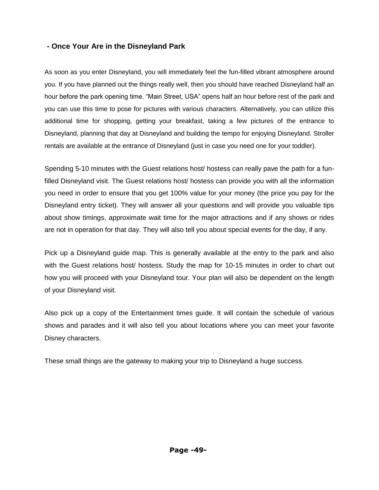## **- Once Your Are in the Disneyland Park**

As soon as you enter Disneyland, you will immediately feel the fun-filled vibrant atmosphere around you. If you have planned out the things really well, then you should have reached Disneyland half an hour before the park opening time. "Main Street, USA" opens half an hour before rest of the park and you can use this time to pose for pictures with various characters. Alternatively, you can utilize this additional time for shopping, getting your breakfast, taking a few pictures of the entrance to Disneyland, planning that day at Disneyland and building the tempo for enjoying Disneyland. Stroller rentals are available at the entrance of Disneyland (just in case you need one for your toddler).

Spending 5-10 minutes with the Guest relations host/ hostess can really pave the path for a funfilled Disneyland visit. The Guest relations host/ hostess can provide you with all the information you need in order to ensure that you get 100% value for your money (the price you pay for the Disneyland entry ticket). They will answer all your questions and will provide you valuable tips about show timings, approximate wait time for the major attractions and if any shows or rides are not in operation for that day. They will also tell you about special events for the day, if any.

Pick up a Disneyland guide map. This is generally available at the entry to the park and also with the Guest relations host/ hostess. Study the map for 10-15 minutes in order to chart out how you will proceed with your Disneyland tour. Your plan will also be dependent on the length of your Disneyland visit.

Also pick up a copy of the Entertainment times guide. It will contain the schedule of various shows and parades and it will also tell you about locations where you can meet your favorite Disney characters.

These small things are the gateway to making your trip to Disneyland a huge success.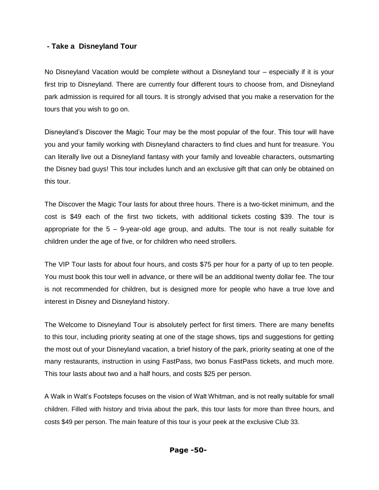## **- Take a Disneyland Tour**

No Disneyland Vacation would be complete without a Disneyland tour – especially if it is your first trip to Disneyland. There are currently four different tours to choose from, and Disneyland park admission is required for all tours. It is strongly advised that you make a reservation for the tours that you wish to go on.

Disneyland"s Discover the Magic Tour may be the most popular of the four. This tour will have you and your family working with Disneyland characters to find clues and hunt for treasure. You can literally live out a Disneyland fantasy with your family and loveable characters, outsmarting the Disney bad guys! This tour includes lunch and an exclusive gift that can only be obtained on this tour.

The Discover the Magic Tour lasts for about three hours. There is a two-ticket minimum, and the cost is \$49 each of the first two tickets, with additional tickets costing \$39. The tour is appropriate for the 5 – 9-year-old age group, and adults. The tour is not really suitable for children under the age of five, or for children who need strollers.

The VIP Tour lasts for about four hours, and costs \$75 per hour for a party of up to ten people. You must book this tour well in advance, or there will be an additional twenty dollar fee. The tour is not recommended for children, but is designed more for people who have a true love and interest in Disney and Disneyland history.

The Welcome to Disneyland Tour is absolutely perfect for first timers. There are many benefits to this tour, including priority seating at one of the stage shows, tips and suggestions for getting the most out of your Disneyland vacation, a brief history of the park, priority seating at one of the many restaurants, instruction in using FastPass, two bonus FastPass tickets, and much more. This tour lasts about two and a half hours, and costs \$25 per person.

A Walk in Walt"s Footsteps focuses on the vision of Walt Whitman, and is not really suitable for small children. Filled with history and trivia about the park, this tour lasts for more than three hours, and costs \$49 per person. The main feature of this tour is your peek at the exclusive Club 33.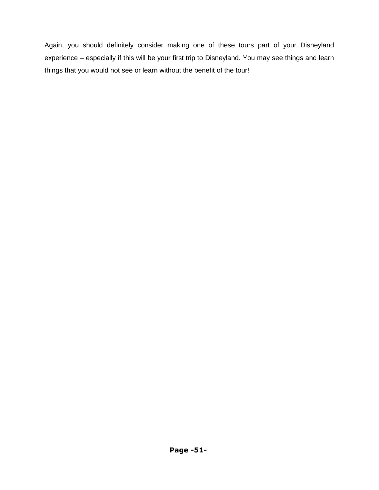Again, you should definitely consider making one of these tours part of your Disneyland experience – especially if this will be your first trip to Disneyland. You may see things and learn things that you would not see or learn without the benefit of the tour!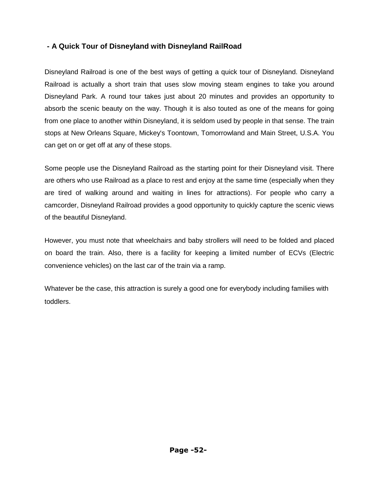# **- A Quick Tour of Disneyland with Disneyland RailRoad**

Disneyland Railroad is one of the best ways of getting a quick tour of Disneyland. Disneyland Railroad is actually a short train that uses slow moving steam engines to take you around Disneyland Park. A round tour takes just about 20 minutes and provides an opportunity to absorb the scenic beauty on the way. Though it is also touted as one of the means for going from one place to another within Disneyland, it is seldom used by people in that sense. The train stops at New Orleans Square, Mickey's Toontown, Tomorrowland and Main Street, U.S.A. You can get on or get off at any of these stops.

Some people use the Disneyland Railroad as the starting point for their Disneyland visit. There are others who use Railroad as a place to rest and enjoy at the same time (especially when they are tired of walking around and waiting in lines for attractions). For people who carry a camcorder, Disneyland Railroad provides a good opportunity to quickly capture the scenic views of the beautiful Disneyland.

However, you must note that wheelchairs and baby strollers will need to be folded and placed on board the train. Also, there is a facility for keeping a limited number of ECVs (Electric convenience vehicles) on the last car of the train via a ramp.

Whatever be the case, this attraction is surely a good one for everybody including families with toddlers.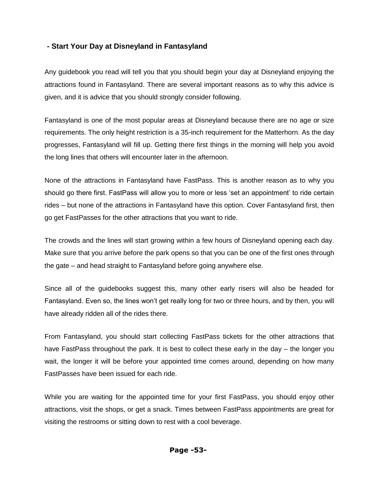## **- Start Your Day at Disneyland in Fantasyland**

Any guidebook you read will tell you that you should begin your day at Disneyland enjoying the attractions found in Fantasyland. There are several important reasons as to why this advice is given, and it is advice that you should strongly consider following.

Fantasyland is one of the most popular areas at Disneyland because there are no age or size requirements. The only height restriction is a 35-inch requirement for the Matterhorn. As the day progresses, Fantasyland will fill up. Getting there first things in the morning will help you avoid the long lines that others will encounter later in the afternoon.

None of the attractions in Fantasyland have FastPass. This is another reason as to why you should go there first. FastPass will allow you to more or less "set an appointment" to ride certain rides – but none of the attractions in Fantasyland have this option. Cover Fantasyland first, then go get FastPasses for the other attractions that you want to ride.

The crowds and the lines will start growing within a few hours of Disneyland opening each day. Make sure that you arrive before the park opens so that you can be one of the first ones through the gate – and head straight to Fantasyland before going anywhere else.

Since all of the guidebooks suggest this, many other early risers will also be headed for Fantasyland. Even so, the lines won"t get really long for two or three hours, and by then, you will have already ridden all of the rides there.

From Fantasyland, you should start collecting FastPass tickets for the other attractions that have FastPass throughout the park. It is best to collect these early in the day – the longer you wait, the longer it will be before your appointed time comes around, depending on how many FastPasses have been issued for each ride.

While you are waiting for the appointed time for your first FastPass, you should enjoy other attractions, visit the shops, or get a snack. Times between FastPass appointments are great for visiting the restrooms or sitting down to rest with a cool beverage.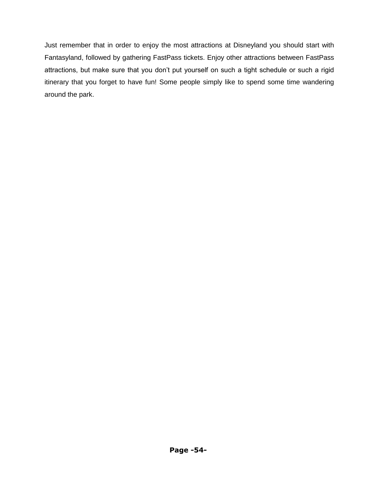Just remember that in order to enjoy the most attractions at Disneyland you should start with Fantasyland, followed by gathering FastPass tickets. Enjoy other attractions between FastPass attractions, but make sure that you don't put yourself on such a tight schedule or such a rigid itinerary that you forget to have fun! Some people simply like to spend some time wandering around the park.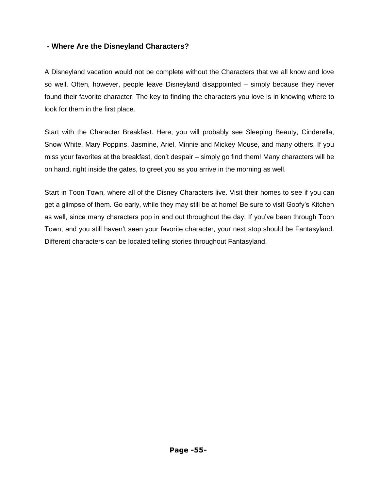## **- Where Are the Disneyland Characters?**

A Disneyland vacation would not be complete without the Characters that we all know and love so well. Often, however, people leave Disneyland disappointed – simply because they never found their favorite character. The key to finding the characters you love is in knowing where to look for them in the first place.

Start with the Character Breakfast. Here, you will probably see Sleeping Beauty, Cinderella, Snow White, Mary Poppins, Jasmine, Ariel, Minnie and Mickey Mouse, and many others. If you miss your favorites at the breakfast, don"t despair – simply go find them! Many characters will be on hand, right inside the gates, to greet you as you arrive in the morning as well.

Start in Toon Town, where all of the Disney Characters live. Visit their homes to see if you can get a glimpse of them. Go early, while they may still be at home! Be sure to visit Goofy"s Kitchen as well, since many characters pop in and out throughout the day. If you"ve been through Toon Town, and you still haven"t seen your favorite character, your next stop should be Fantasyland. Different characters can be located telling stories throughout Fantasyland.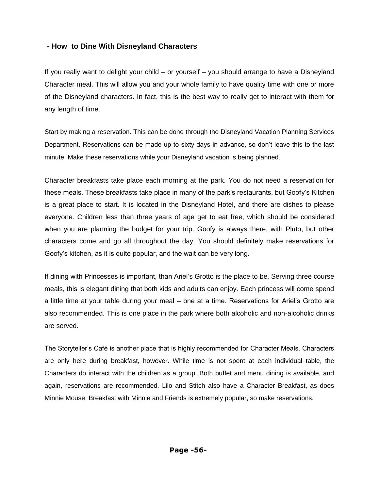## **- How to Dine With Disneyland Characters**

If you really want to delight your child – or yourself – you should arrange to have a Disneyland Character meal. This will allow you and your whole family to have quality time with one or more of the Disneyland characters. In fact, this is the best way to really get to interact with them for any length of time.

Start by making a reservation. This can be done through the Disneyland Vacation Planning Services Department. Reservations can be made up to sixty days in advance, so don"t leave this to the last minute. Make these reservations while your Disneyland vacation is being planned.

Character breakfasts take place each morning at the park. You do not need a reservation for these meals. These breakfasts take place in many of the park"s restaurants, but Goofy"s Kitchen is a great place to start. It is located in the Disneyland Hotel, and there are dishes to please everyone. Children less than three years of age get to eat free, which should be considered when you are planning the budget for your trip. Goofy is always there, with Pluto, but other characters come and go all throughout the day. You should definitely make reservations for Goofy"s kitchen, as it is quite popular, and the wait can be very long.

If dining with Princesses is important, than Ariel"s Grotto is the place to be. Serving three course meals, this is elegant dining that both kids and adults can enjoy. Each princess will come spend a little time at your table during your meal – one at a time. Reservations for Ariel"s Grotto are also recommended. This is one place in the park where both alcoholic and non-alcoholic drinks are served.

The Storyteller"s Café is another place that is highly recommended for Character Meals. Characters are only here during breakfast, however. While time is not spent at each individual table, the Characters do interact with the children as a group. Both buffet and menu dining is available, and again, reservations are recommended. Lilo and Stitch also have a Character Breakfast, as does Minnie Mouse. Breakfast with Minnie and Friends is extremely popular, so make reservations.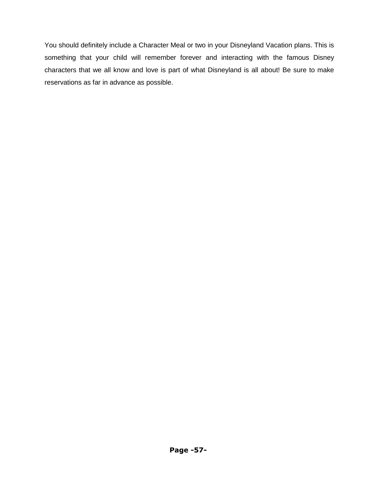You should definitely include a Character Meal or two in your Disneyland Vacation plans. This is something that your child will remember forever and interacting with the famous Disney characters that we all know and love is part of what Disneyland is all about! Be sure to make reservations as far in advance as possible.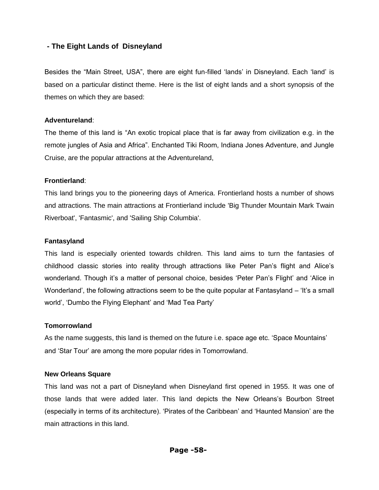## **- The Eight Lands of Disneyland**

Besides the "Main Street, USA", there are eight fun-filled 'lands' in Disneyland. Each 'land' is based on a particular distinct theme. Here is the list of eight lands and a short synopsis of the themes on which they are based:

#### **Adventureland**:

The theme of this land is "An exotic tropical place that is far away from civilization e.g. in the remote jungles of Asia and Africa". Enchanted Tiki Room, Indiana Jones Adventure, and Jungle Cruise, are the popular attractions at the Adventureland,

#### **Frontierland**:

This land brings you to the pioneering days of America. Frontierland hosts a number of shows and attractions. The main attractions at Frontierland include 'Big Thunder Mountain Mark Twain Riverboat', 'Fantasmic', and 'Sailing Ship Columbia'.

#### **Fantasyland**

This land is especially oriented towards children. This land aims to turn the fantasies of childhood classic stories into reality through attractions like Peter Pan"s flight and Alice"s wonderland. Though it's a matter of personal choice, besides 'Peter Pan's Flight' and 'Alice in Wonderland', the following attractions seem to be the quite popular at Fantasyland – 'It's a small world', 'Dumbo the Flying Elephant' and 'Mad Tea Party'

#### **Tomorrowland**

As the name suggests, this land is themed on the future i.e. space age etc. "Space Mountains" and "Star Tour" are among the more popular rides in Tomorrowland.

#### **New Orleans Square**

This land was not a part of Disneyland when Disneyland first opened in 1955. It was one of those lands that were added later. This land depicts the New Orleans"s Bourbon Street (especially in terms of its architecture). "Pirates of the Caribbean" and "Haunted Mansion" are the main attractions in this land.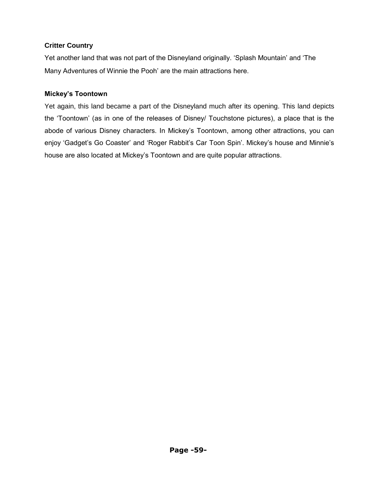### **Critter Country**

Yet another land that was not part of the Disneyland originally. "Splash Mountain" and "The Many Adventures of Winnie the Pooh" are the main attractions here.

### **Mickey's Toontown**

Yet again, this land became a part of the Disneyland much after its opening. This land depicts the "Toontown" (as in one of the releases of Disney/ Touchstone pictures), a place that is the abode of various Disney characters. In Mickey's Toontown, among other attractions, you can enjoy 'Gadget's Go Coaster' and 'Roger Rabbit's Car Toon Spin'. Mickey's house and Minnie's house are also located at Mickey"s Toontown and are quite popular attractions.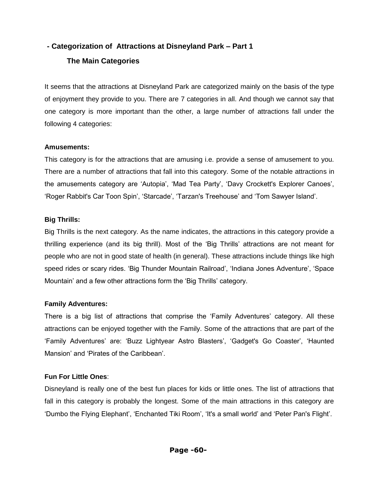# **- Categorization of Attractions at Disneyland Park – Part 1**

# **The Main Categories**

It seems that the attractions at Disneyland Park are categorized mainly on the basis of the type of enjoyment they provide to you. There are 7 categories in all. And though we cannot say that one category is more important than the other, a large number of attractions fall under the following 4 categories:

## **Amusements:**

This category is for the attractions that are amusing i.e. provide a sense of amusement to you. There are a number of attractions that fall into this category. Some of the notable attractions in the amusements category are "Autopia", "Mad Tea Party", "Davy Crockett's Explorer Canoes", 'Roger Rabbit's Car Toon Spin', 'Starcade', 'Tarzan's Treehouse' and 'Tom Sawyer Island'.

## **Big Thrills:**

Big Thrills is the next category. As the name indicates, the attractions in this category provide a thrilling experience (and its big thrill). Most of the "Big Thrills" attractions are not meant for people who are not in good state of health (in general). These attractions include things like high speed rides or scary rides. 'Big Thunder Mountain Railroad', 'Indiana Jones Adventure', 'Space Mountain" and a few other attractions form the "Big Thrills" category.

### **Family Adventures:**

There is a big list of attractions that comprise the 'Family Adventures' category. All these attractions can be enjoyed together with the Family. Some of the attractions that are part of the "Family Adventures" are: "Buzz Lightyear Astro Blasters", "Gadget's Go Coaster", "Haunted Mansion" and "Pirates of the Caribbean".

# **Fun For Little Ones**:

Disneyland is really one of the best fun places for kids or little ones. The list of attractions that fall in this category is probably the longest. Some of the main attractions in this category are "Dumbo the Flying Elephant", "Enchanted Tiki Room", "It's a small world" and "Peter Pan's Flight".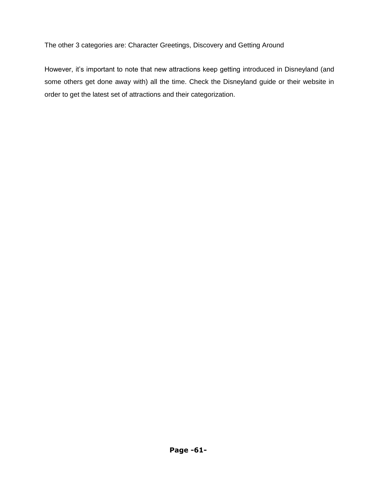The other 3 categories are: Character Greetings, Discovery and Getting Around

However, it's important to note that new attractions keep getting introduced in Disneyland (and some others get done away with) all the time. Check the Disneyland guide or their website in order to get the latest set of attractions and their categorization.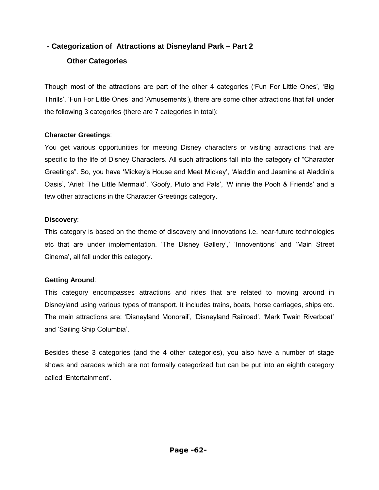# **- Categorization of Attractions at Disneyland Park – Part 2**

# **Other Categories**

Though most of the attractions are part of the other 4 categories ("Fun For Little Ones", "Big Thrills", "Fun For Little Ones" and "Amusements"), there are some other attractions that fall under the following 3 categories (there are 7 categories in total):

## **Character Greetings**:

You get various opportunities for meeting Disney characters or visiting attractions that are specific to the life of Disney Characters. All such attractions fall into the category of "Character Greetings". So, you have "Mickey's House and Meet Mickey", "Aladdin and Jasmine at Aladdin's Oasis', 'Ariel: The Little Mermaid', 'Goofy, Pluto and Pals', 'W innie the Pooh & Friends' and a few other attractions in the Character Greetings category.

### **Discovery**:

This category is based on the theme of discovery and innovations i.e. near-future technologies etc that are under implementation. 'The Disney Gallery',' 'Innoventions' and 'Main Street Cinema", all fall under this category.

# **Getting Around**:

This category encompasses attractions and rides that are related to moving around in Disneyland using various types of transport. It includes trains, boats, horse carriages, ships etc. The main attractions are: "Disneyland Monorail", "Disneyland Railroad", "Mark Twain Riverboat" and "Sailing Ship Columbia".

Besides these 3 categories (and the 4 other categories), you also have a number of stage shows and parades which are not formally categorized but can be put into an eighth category called "Entertainment".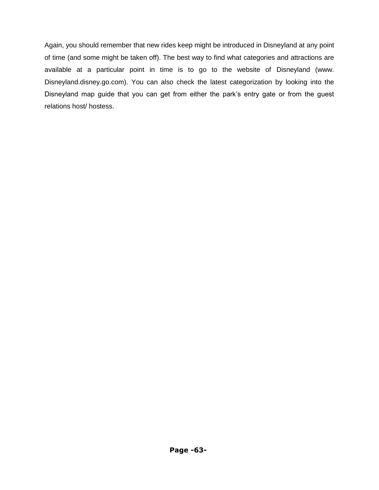Again, you should remember that new rides keep might be introduced in Disneyland at any point of time (and some might be taken off). The best way to find what categories and attractions are available at a particular point in time is to go to the website of Disneyland (www. Disneyland.disney.go.com). You can also check the latest categorization by looking into the Disneyland map guide that you can get from either the park"s entry gate or from the guest relations host/ hostess.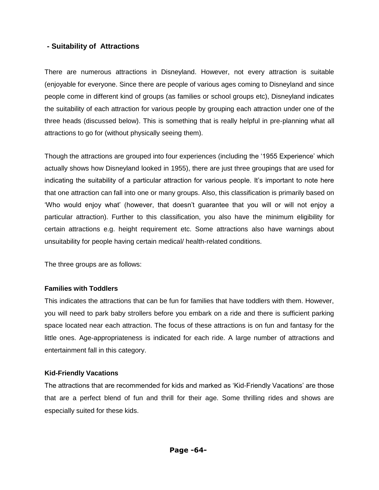## **- Suitability of Attractions**

There are numerous attractions in Disneyland. However, not every attraction is suitable (enjoyable for everyone. Since there are people of various ages coming to Disneyland and since people come in different kind of groups (as families or school groups etc), Disneyland indicates the suitability of each attraction for various people by grouping each attraction under one of the three heads (discussed below). This is something that is really helpful in pre-planning what all attractions to go for (without physically seeing them).

Though the attractions are grouped into four experiences (including the "1955 Experience" which actually shows how Disneyland looked in 1955), there are just three groupings that are used for indicating the suitability of a particular attraction for various people. It's important to note here that one attraction can fall into one or many groups. Also, this classification is primarily based on "Who would enjoy what" (however, that doesn"t guarantee that you will or will not enjoy a particular attraction). Further to this classification, you also have the minimum eligibility for certain attractions e.g. height requirement etc. Some attractions also have warnings about unsuitability for people having certain medical/ health-related conditions.

The three groups are as follows:

### **Families with Toddlers**

This indicates the attractions that can be fun for families that have toddlers with them. However, you will need to park baby strollers before you embark on a ride and there is sufficient parking space located near each attraction. The focus of these attractions is on fun and fantasy for the little ones. Age-appropriateness is indicated for each ride. A large number of attractions and entertainment fall in this category.

#### **Kid-Friendly Vacations**

The attractions that are recommended for kids and marked as "Kid-Friendly Vacations" are those that are a perfect blend of fun and thrill for their age. Some thrilling rides and shows are especially suited for these kids.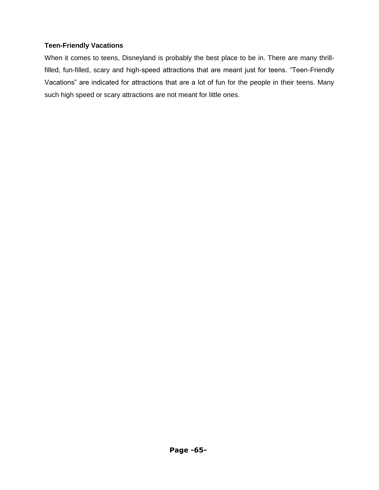## **Teen-Friendly Vacations**

When it comes to teens, Disneyland is probably the best place to be in. There are many thrillfilled, fun-filled, scary and high-speed attractions that are meant just for teens. "Teen-Friendly Vacations" are indicated for attractions that are a lot of fun for the people in their teens. Many such high speed or scary attractions are not meant for little ones.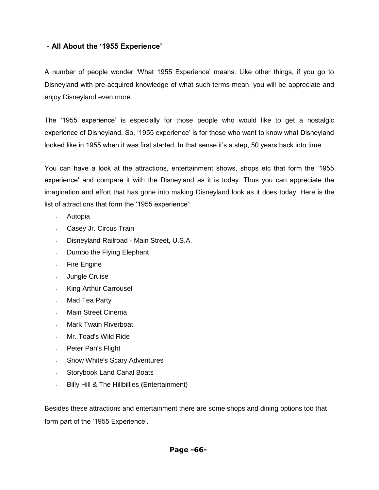## **- All About the '1955 Experience'**

A number of people wonder "What 1955 Experience" means. Like other things, if you go to Disneyland with pre-acquired knowledge of what such terms mean, you will be appreciate and enjoy Disneyland even more.

The "1955 experience" is especially for those people who would like to get a nostalgic experience of Disneyland. So, '1955 experience' is for those who want to know what Disneyland looked like in 1955 when it was first started. In that sense it"s a step, 50 years back into time.

You can have a look at the attractions, entertainment shows, shops etc that form the "1955 experience' and compare it with the Disneyland as it is today. Thus you can appreciate the imagination and effort that has gone into making Disneyland look as it does today. Here is the list of attractions that form the '1955 experience':

- · Autopia
- · Casey Jr. Circus Train
- · Disneyland Railroad Main Street, U.S.A.
- · Dumbo the Flying Elephant
- · Fire Engine
- · Jungle Cruise
- King Arthur Carrousel
- · Mad Tea Party
- Main Street Cinema
- Mark Twain Riverboat
- · Mr. Toad's Wild Ride
- · Peter Pan's Flight
- Snow White's Scary Adventures
- · Storybook Land Canal Boats
- · Billy Hill & The Hillbillies (Entertainment)

Besides these attractions and entertainment there are some shops and dining options too that form part of the '1955 Experience'.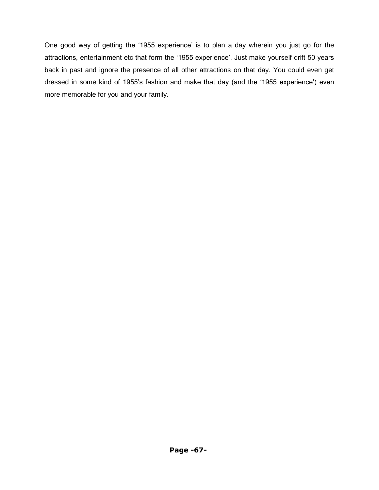One good way of getting the "1955 experience" is to plan a day wherein you just go for the attractions, entertainment etc that form the '1955 experience'. Just make yourself drift 50 years back in past and ignore the presence of all other attractions on that day. You could even get dressed in some kind of 1955's fashion and make that day (and the '1955 experience') even more memorable for you and your family.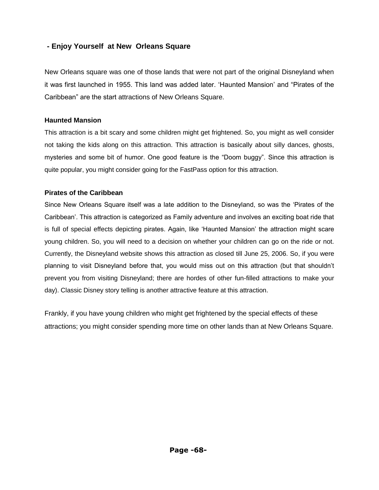# **- Enjoy Yourself at New Orleans Square**

New Orleans square was one of those lands that were not part of the original Disneyland when it was first launched in 1955. This land was added later. "Haunted Mansion" and "Pirates of the Caribbean" are the start attractions of New Orleans Square.

#### **Haunted Mansion**

This attraction is a bit scary and some children might get frightened. So, you might as well consider not taking the kids along on this attraction. This attraction is basically about silly dances, ghosts, mysteries and some bit of humor. One good feature is the "Doom buggy". Since this attraction is quite popular, you might consider going for the FastPass option for this attraction.

#### **Pirates of the Caribbean**

Since New Orleans Square itself was a late addition to the Disneyland, so was the "Pirates of the Caribbean". This attraction is categorized as Family adventure and involves an exciting boat ride that is full of special effects depicting pirates. Again, like "Haunted Mansion" the attraction might scare young children. So, you will need to a decision on whether your children can go on the ride or not. Currently, the Disneyland website shows this attraction as closed till June 25, 2006. So, if you were planning to visit Disneyland before that, you would miss out on this attraction (but that shouldn"t prevent you from visiting Disneyland; there are hordes of other fun-filled attractions to make your day). Classic Disney story telling is another attractive feature at this attraction.

Frankly, if you have young children who might get frightened by the special effects of these attractions; you might consider spending more time on other lands than at New Orleans Square.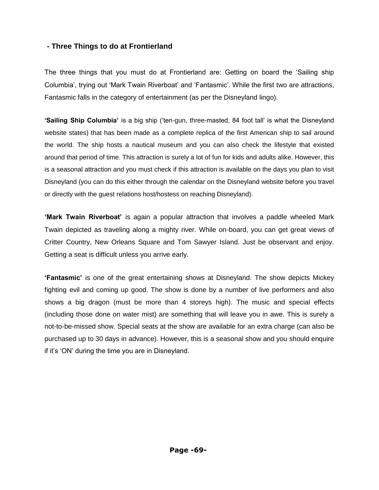## **- Three Things to do at Frontierland**

The three things that you must do at Frontierland are: Getting on board the "Sailing ship Columbia", trying out "Mark Twain Riverboat" and "Fantasmic". While the first two are attractions, Fantasmic falls in the category of entertainment (as per the Disneyland lingo).

**'Sailing Ship Columbia'** is a big ship ("ten-gun, three-masted, 84 foot tall" is what the Disneyland website states) that has been made as a complete replica of the first American ship to sail around the world. The ship hosts a nautical museum and you can also check the lifestyle that existed around that period of time. This attraction is surely a lot of fun for kids and adults alike. However, this is a seasonal attraction and you must check if this attraction is available on the days you plan to visit Disneyland (you can do this either through the calendar on the Disneyland website before you travel or directly with the guest relations host/hostess on reaching Disneyland).

**'Mark Twain Riverboat'** is again a popular attraction that involves a paddle wheeled Mark Twain depicted as traveling along a mighty river. While on-board, you can get great views of Critter Country, New Orleans Square and Tom Sawyer Island. Just be observant and enjoy. Getting a seat is difficult unless you arrive early.

**'Fantasmic'** is one of the great entertaining shows at Disneyland. The show depicts Mickey fighting evil and coming up good. The show is done by a number of live performers and also shows a big dragon (must be more than 4 storeys high). The music and special effects (including those done on water mist) are something that will leave you in awe. This is surely a not-to-be-missed show. Special seats at the show are available for an extra charge (can also be purchased up to 30 days in advance). However, this is a seasonal show and you should enquire if it"s "ON" during the time you are in Disneyland.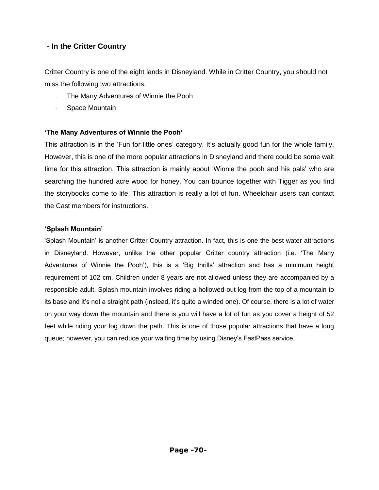# **- In the Critter Country**

Critter Country is one of the eight lands in Disneyland. While in Critter Country, you should not miss the following two attractions.

- The Many Adventures of Winnie the Pooh
- · Space Mountain

#### **'The Many Adventures of Winnie the Pooh'**

This attraction is in the 'Fun for little ones' category. It's actually good fun for the whole family. However, this is one of the more popular attractions in Disneyland and there could be some wait time for this attraction. This attraction is mainly about "Winnie the pooh and his pals" who are searching the hundred acre wood for honey. You can bounce together with Tigger as you find the storybooks come to life. This attraction is really a lot of fun. Wheelchair users can contact the Cast members for instructions.

#### **'Splash Mountain'**

"Splash Mountain" is another Critter Country attraction. In fact, this is one the best water attractions in Disneyland. However, unlike the other popular Critter country attraction (i.e. "The Many Adventures of Winnie the Pooh"), this is a "Big thrills" attraction and has a minimum height requirement of 102 cm. Children under 8 years are not allowed unless they are accompanied by a responsible adult. Splash mountain involves riding a hollowed-out log from the top of a mountain to its base and it"s not a straight path (instead, it"s quite a winded one). Of course, there is a lot of water on your way down the mountain and there is you will have a lot of fun as you cover a height of 52 feet while riding your log down the path. This is one of those popular attractions that have a long queue; however, you can reduce your waiting time by using Disney"s FastPass service.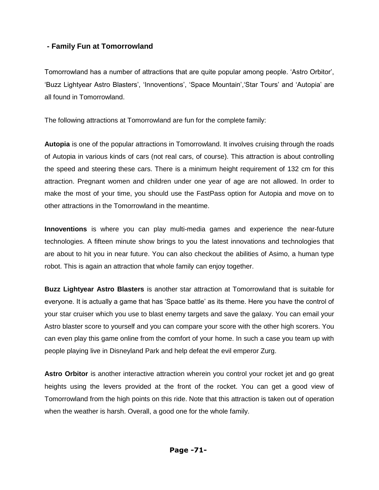# **- Family Fun at Tomorrowland**

Tomorrowland has a number of attractions that are quite popular among people. "Astro Orbitor", "Buzz Lightyear Astro Blasters", "Innoventions", "Space Mountain","Star Tours" and "Autopia" are all found in Tomorrowland.

The following attractions at Tomorrowland are fun for the complete family:

**Autopia** is one of the popular attractions in Tomorrowland. It involves cruising through the roads of Autopia in various kinds of cars (not real cars, of course). This attraction is about controlling the speed and steering these cars. There is a minimum height requirement of 132 cm for this attraction. Pregnant women and children under one year of age are not allowed. In order to make the most of your time, you should use the FastPass option for Autopia and move on to other attractions in the Tomorrowland in the meantime.

**Innoventions** is where you can play multi-media games and experience the near-future technologies. A fifteen minute show brings to you the latest innovations and technologies that are about to hit you in near future. You can also checkout the abilities of Asimo, a human type robot. This is again an attraction that whole family can enjoy together.

**Buzz Lightyear Astro Blasters** is another star attraction at Tomorrowland that is suitable for everyone. It is actually a game that has "Space battle" as its theme. Here you have the control of your star cruiser which you use to blast enemy targets and save the galaxy. You can email your Astro blaster score to yourself and you can compare your score with the other high scorers. You can even play this game online from the comfort of your home. In such a case you team up with people playing live in Disneyland Park and help defeat the evil emperor Zurg.

**Astro Orbitor** is another interactive attraction wherein you control your rocket jet and go great heights using the levers provided at the front of the rocket. You can get a good view of Tomorrowland from the high points on this ride. Note that this attraction is taken out of operation when the weather is harsh. Overall, a good one for the whole family.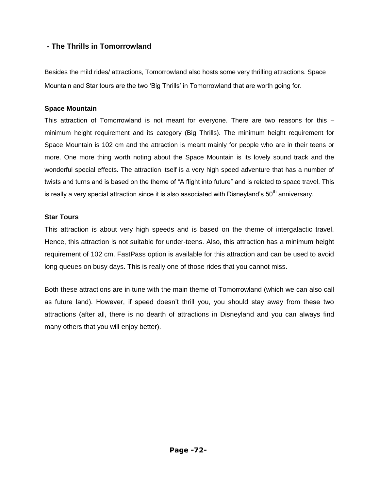# **- The Thrills in Tomorrowland**

Besides the mild rides/ attractions, Tomorrowland also hosts some very thrilling attractions. Space Mountain and Star tours are the two "Big Thrills" in Tomorrowland that are worth going for.

#### **Space Mountain**

This attraction of Tomorrowland is not meant for everyone. There are two reasons for this – minimum height requirement and its category (Big Thrills). The minimum height requirement for Space Mountain is 102 cm and the attraction is meant mainly for people who are in their teens or more. One more thing worth noting about the Space Mountain is its lovely sound track and the wonderful special effects. The attraction itself is a very high speed adventure that has a number of twists and turns and is based on the theme of "A flight into future" and is related to space travel. This is really a very special attraction since it is also associated with Disneyland's 50<sup>th</sup> anniversary.

#### **Star Tours**

This attraction is about very high speeds and is based on the theme of intergalactic travel. Hence, this attraction is not suitable for under-teens. Also, this attraction has a minimum height requirement of 102 cm. FastPass option is available for this attraction and can be used to avoid long queues on busy days. This is really one of those rides that you cannot miss.

Both these attractions are in tune with the main theme of Tomorrowland (which we can also call as future land). However, if speed doesn"t thrill you, you should stay away from these two attractions (after all, there is no dearth of attractions in Disneyland and you can always find many others that you will enjoy better).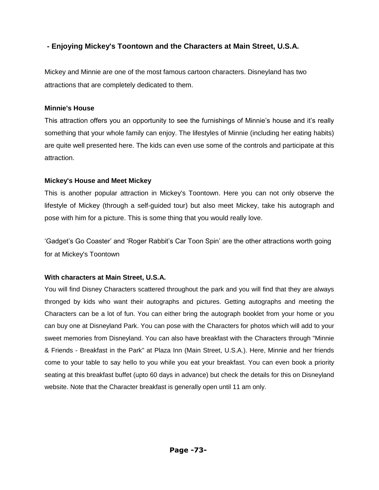# **- Enjoying Mickey's Toontown and the Characters at Main Street, U.S.A.**

Mickey and Minnie are one of the most famous cartoon characters. Disneyland has two attractions that are completely dedicated to them.

#### **Minnie's House**

This attraction offers you an opportunity to see the furnishings of Minnie's house and it's really something that your whole family can enjoy. The lifestyles of Minnie (including her eating habits) are quite well presented here. The kids can even use some of the controls and participate at this attraction.

## **Mickey's House and Meet Mickey**

This is another popular attraction in Mickey's Toontown. Here you can not only observe the lifestyle of Mickey (through a self-guided tour) but also meet Mickey, take his autograph and pose with him for a picture. This is some thing that you would really love.

'Gadget's Go Coaster' and 'Roger Rabbit's Car Toon Spin' are the other attractions worth going for at Mickey's Toontown

# **With characters at Main Street, U.S.A.**

You will find Disney Characters scattered throughout the park and you will find that they are always thronged by kids who want their autographs and pictures. Getting autographs and meeting the Characters can be a lot of fun. You can either bring the autograph booklet from your home or you can buy one at Disneyland Park. You can pose with the Characters for photos which will add to your sweet memories from Disneyland. You can also have breakfast with the Characters through "Minnie & Friends - Breakfast in the Park" at Plaza Inn (Main Street, U.S.A.). Here, Minnie and her friends come to your table to say hello to you while you eat your breakfast. You can even book a priority seating at this breakfast buffet (upto 60 days in advance) but check the details for this on Disneyland website. Note that the Character breakfast is generally open until 11 am only.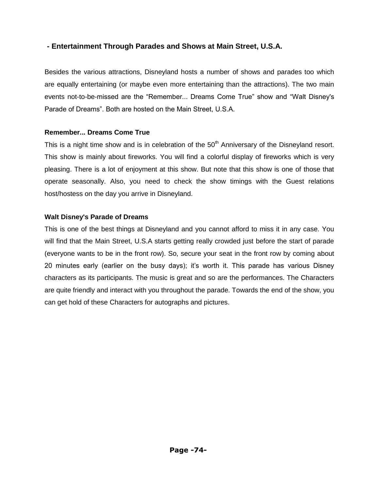# **- Entertainment Through Parades and Shows at Main Street, U.S.A.**

Besides the various attractions, Disneyland hosts a number of shows and parades too which are equally entertaining (or maybe even more entertaining than the attractions). The two main events not-to-be-missed are the "Remember... Dreams Come True" show and "Walt Disney's Parade of Dreams". Both are hosted on the Main Street, U.S.A.

#### **Remember... Dreams Come True**

This is a night time show and is in celebration of the 50<sup>th</sup> Anniversary of the Disneyland resort. This show is mainly about fireworks. You will find a colorful display of fireworks which is very pleasing. There is a lot of enjoyment at this show. But note that this show is one of those that operate seasonally. Also, you need to check the show timings with the Guest relations host/hostess on the day you arrive in Disneyland.

## **Walt Disney's Parade of Dreams**

This is one of the best things at Disneyland and you cannot afford to miss it in any case. You will find that the Main Street, U.S.A starts getting really crowded just before the start of parade (everyone wants to be in the front row). So, secure your seat in the front row by coming about 20 minutes early (earlier on the busy days); it"s worth it. This parade has various Disney characters as its participants. The music is great and so are the performances. The Characters are quite friendly and interact with you throughout the parade. Towards the end of the show, you can get hold of these Characters for autographs and pictures.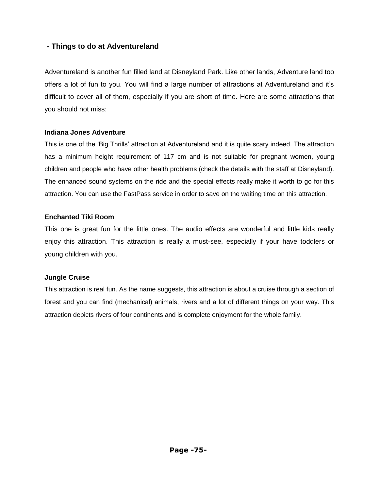# **- Things to do at Adventureland**

Adventureland is another fun filled land at Disneyland Park. Like other lands, Adventure land too offers a lot of fun to you. You will find a large number of attractions at Adventureland and it"s difficult to cover all of them, especially if you are short of time. Here are some attractions that you should not miss:

#### **Indiana Jones Adventure**

This is one of the "Big Thrills" attraction at Adventureland and it is quite scary indeed. The attraction has a minimum height requirement of 117 cm and is not suitable for pregnant women, young children and people who have other health problems (check the details with the staff at Disneyland). The enhanced sound systems on the ride and the special effects really make it worth to go for this attraction. You can use the FastPass service in order to save on the waiting time on this attraction.

#### **Enchanted Tiki Room**

This one is great fun for the little ones. The audio effects are wonderful and little kids really enjoy this attraction. This attraction is really a must-see, especially if your have toddlers or young children with you.

## **Jungle Cruise**

This attraction is real fun. As the name suggests, this attraction is about a cruise through a section of forest and you can find (mechanical) animals, rivers and a lot of different things on your way. This attraction depicts rivers of four continents and is complete enjoyment for the whole family.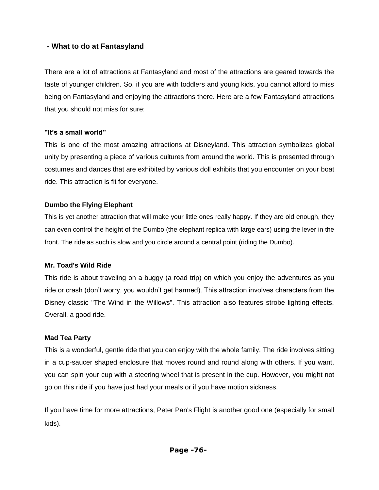## **- What to do at Fantasyland**

There are a lot of attractions at Fantasyland and most of the attractions are geared towards the taste of younger children. So, if you are with toddlers and young kids, you cannot afford to miss being on Fantasyland and enjoying the attractions there. Here are a few Fantasyland attractions that you should not miss for sure:

#### **"It's a small world"**

This is one of the most amazing attractions at Disneyland. This attraction symbolizes global unity by presenting a piece of various cultures from around the world. This is presented through costumes and dances that are exhibited by various doll exhibits that you encounter on your boat ride. This attraction is fit for everyone.

#### **Dumbo the Flying Elephant**

This is yet another attraction that will make your little ones really happy. If they are old enough, they can even control the height of the Dumbo (the elephant replica with large ears) using the lever in the front. The ride as such is slow and you circle around a central point (riding the Dumbo).

## **Mr. Toad's Wild Ride**

This ride is about traveling on a buggy (a road trip) on which you enjoy the adventures as you ride or crash (don"t worry, you wouldn"t get harmed). This attraction involves characters from the Disney classic "The Wind in the Willows". This attraction also features strobe lighting effects. Overall, a good ride.

## **Mad Tea Party**

This is a wonderful, gentle ride that you can enjoy with the whole family. The ride involves sitting in a cup-saucer shaped enclosure that moves round and round along with others. If you want, you can spin your cup with a steering wheel that is present in the cup. However, you might not go on this ride if you have just had your meals or if you have motion sickness.

If you have time for more attractions, Peter Pan's Flight is another good one (especially for small kids).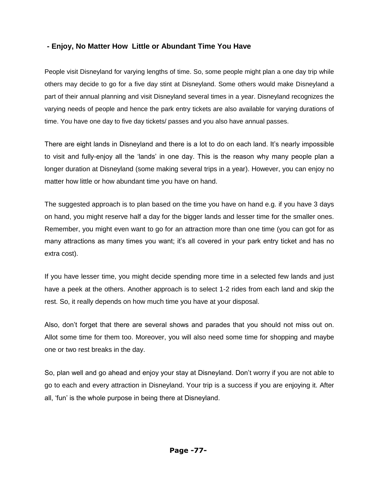## **- Enjoy, No Matter How Little or Abundant Time You Have**

People visit Disneyland for varying lengths of time. So, some people might plan a one day trip while others may decide to go for a five day stint at Disneyland. Some others would make Disneyland a part of their annual planning and visit Disneyland several times in a year. Disneyland recognizes the varying needs of people and hence the park entry tickets are also available for varying durations of time. You have one day to five day tickets/ passes and you also have annual passes.

There are eight lands in Disneyland and there is a lot to do on each land. It"s nearly impossible to visit and fully-enjoy all the "lands" in one day. This is the reason why many people plan a longer duration at Disneyland (some making several trips in a year). However, you can enjoy no matter how little or how abundant time you have on hand.

The suggested approach is to plan based on the time you have on hand e.g. if you have 3 days on hand, you might reserve half a day for the bigger lands and lesser time for the smaller ones. Remember, you might even want to go for an attraction more than one time (you can got for as many attractions as many times you want; it's all covered in your park entry ticket and has no extra cost).

If you have lesser time, you might decide spending more time in a selected few lands and just have a peek at the others. Another approach is to select 1-2 rides from each land and skip the rest. So, it really depends on how much time you have at your disposal.

Also, don"t forget that there are several shows and parades that you should not miss out on. Allot some time for them too. Moreover, you will also need some time for shopping and maybe one or two rest breaks in the day.

So, plan well and go ahead and enjoy your stay at Disneyland. Don"t worry if you are not able to go to each and every attraction in Disneyland. Your trip is a success if you are enjoying it. After all, "fun" is the whole purpose in being there at Disneyland.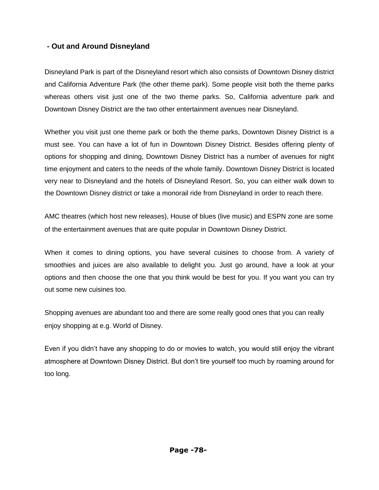# **- Out and Around Disneyland**

Disneyland Park is part of the Disneyland resort which also consists of Downtown Disney district and California Adventure Park (the other theme park). Some people visit both the theme parks whereas others visit just one of the two theme parks. So, California adventure park and Downtown Disney District are the two other entertainment avenues near Disneyland.

Whether you visit just one theme park or both the theme parks, Downtown Disney District is a must see. You can have a lot of fun in Downtown Disney District. Besides offering plenty of options for shopping and dining, Downtown Disney District has a number of avenues for night time enjoyment and caters to the needs of the whole family. Downtown Disney District is located very near to Disneyland and the hotels of Disneyland Resort. So, you can either walk down to the Downtown Disney district or take a monorail ride from Disneyland in order to reach there.

AMC theatres (which host new releases), House of blues (live music) and ESPN zone are some of the entertainment avenues that are quite popular in Downtown Disney District.

When it comes to dining options, you have several cuisines to choose from. A variety of smoothies and juices are also available to delight you. Just go around, have a look at your options and then choose the one that you think would be best for you. If you want you can try out some new cuisines too.

Shopping avenues are abundant too and there are some really good ones that you can really enjoy shopping at e.g. World of Disney.

Even if you didn"t have any shopping to do or movies to watch, you would still enjoy the vibrant atmosphere at Downtown Disney District. But don"t tire yourself too much by roaming around for too long.